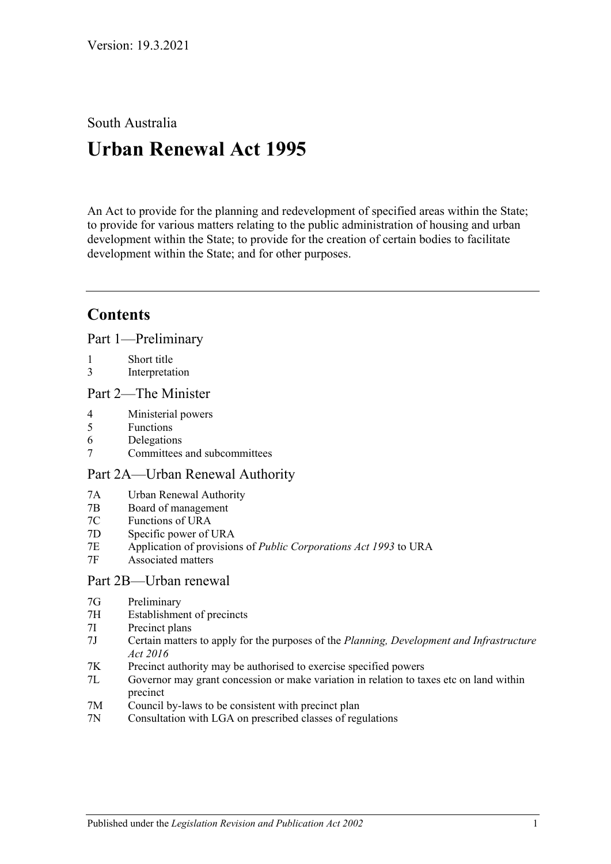South Australia

# **Urban Renewal Act 1995**

An Act to provide for the planning and redevelopment of specified areas within the State; to provide for various matters relating to the public administration of housing and urban development within the State; to provide for the creation of certain bodies to facilitate development within the State; and for other purposes.

# **Contents**

[Part 1—Preliminary](#page-2-0)

- 1 [Short title](#page-2-1)
- 3 [Interpretation](#page-2-2)

## [Part 2—The Minister](#page-3-0)

- 4 [Ministerial powers](#page-3-1)
- 5 [Functions](#page-4-0)
- 6 [Delegations](#page-5-0)
- 7 [Committees and subcommittees](#page-5-1)

## [Part 2A—Urban Renewal Authority](#page-5-2)

- 7A [Urban Renewal Authority](#page-5-3)
- 7B [Board of management](#page-6-0)
- 7C [Functions of URA](#page-6-1)
- 7D [Specific power of URA](#page-7-0)
- 7E [Application of provisions of](#page-7-1) *Public Corporations Act 1993* to URA
- 7F [Associated matters](#page-7-2)

#### [Part 2B—Urban renewal](#page-7-3)

- 7G [Preliminary](#page-7-4)
- 7H [Establishment of precincts](#page-8-0)
- 7I [Precinct plans](#page-11-0)
- 7J [Certain matters to apply for the purposes of the](#page-15-0) *Planning, Development and Infrastructure Act [2016](#page-15-0)*
- 7K [Precinct authority may be authorised to exercise specified powers](#page-15-1)
- 7L [Governor may grant concession or make variation in relation to taxes etc on land within](#page-17-0)  [precinct](#page-17-0)
- 7M [Council by-laws to be consistent with precinct plan](#page-17-1)
- 7N [Consultation with LGA on prescribed classes of regulations](#page-17-2)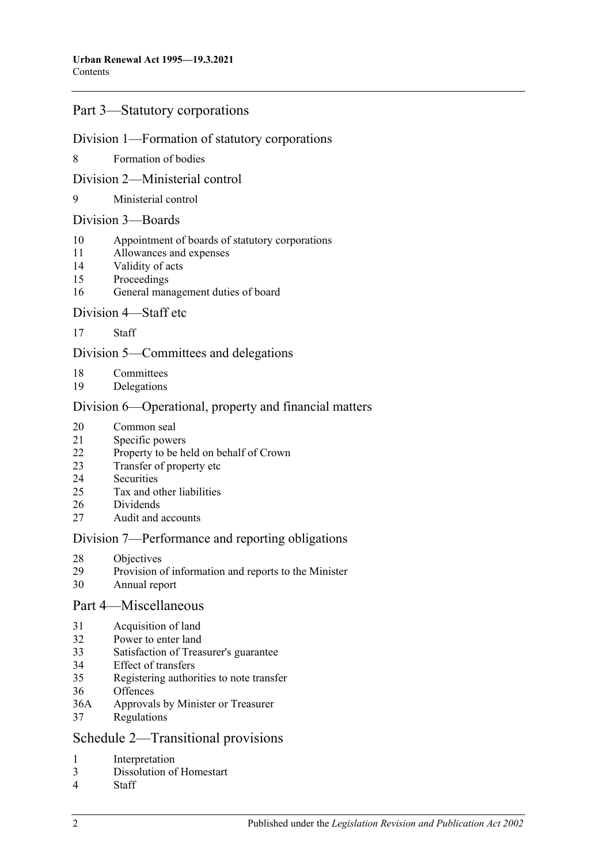### [Part 3—Statutory corporations](#page-18-0)

#### [Division 1—Formation of statutory corporations](#page-18-1)

[Formation of bodies](#page-18-2)

#### [Division 2—Ministerial control](#page-19-0)

[Ministerial control](#page-19-1)

#### [Division 3—Boards](#page-19-2)

- [Appointment of boards of statutory corporations](#page-19-3)
- [Allowances and expenses](#page-20-0)
- [Validity of acts](#page-20-1)
- [Proceedings](#page-20-2)
- [General management duties of board](#page-21-0)

#### [Division 4—Staff etc](#page-21-1)

[Staff](#page-21-2)

#### [Division 5—Committees and delegations](#page-22-0)

- [Committees](#page-22-1)
- [Delegations](#page-22-2)

#### [Division 6—Operational, property and financial matters](#page-22-3)

- [Common seal](#page-22-4)
- [Specific powers](#page-23-0)
- [Property to be held on behalf of Crown](#page-23-1)
- [Transfer of property etc](#page-23-2)
- [Securities](#page-24-0)<br>25 Tax and o
- [Tax and other liabilities](#page-24-1)
- [Dividends](#page-25-0)
- [Audit and accounts](#page-26-0)

#### [Division 7—Performance and reporting obligations](#page-26-1)

- [Objectives](#page-26-2)<br>29 Provision c
- [Provision of information and reports to the Minister](#page-26-3)
- [Annual report](#page-27-0)

#### [Part 4—Miscellaneous](#page-27-1)

- [Acquisition of land](#page-27-2)
- [Power to enter land](#page-27-3)
- [Satisfaction of Treasurer's guarantee](#page-27-4)
- [Effect of transfers](#page-27-5)
- [Registering authorities to note transfer](#page-27-6)
- [Offences](#page-28-0)
- 36A [Approvals by Minister or Treasurer](#page-28-1)
- [Regulations](#page-28-2)

#### [Schedule 2—Transitional provisions](#page-29-0)

- [Interpretation](#page-29-1)
- [Dissolution of Homestart](#page-29-2)
- [Staff](#page-29-3)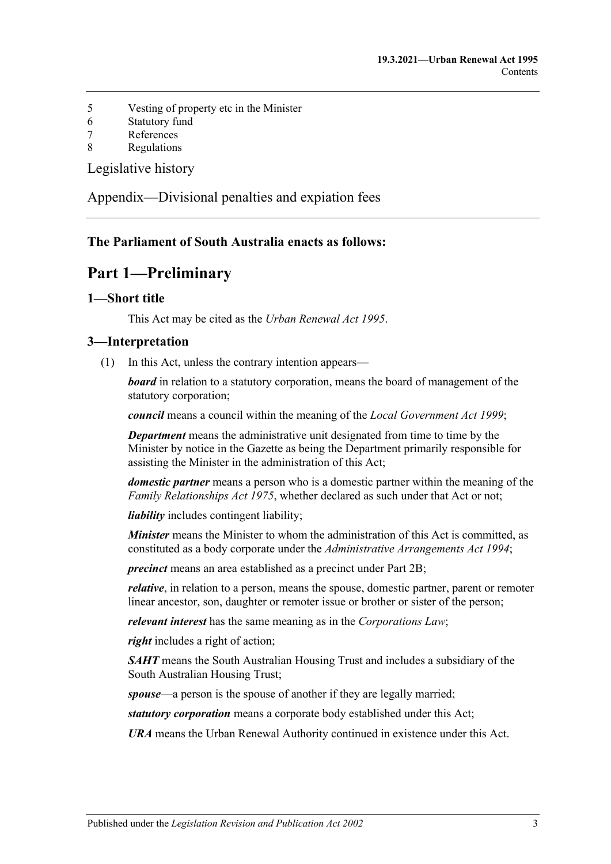- 5 [Vesting of property etc in the Minister](#page-29-4)
- 6 [Statutory fund](#page-30-0)
- 7 [References](#page-30-1)
- 8 [Regulations](#page-30-2)

[Legislative history](#page-31-0)

[Appendix—Divisional penalties and expiation fees](#page-35-0)

## <span id="page-2-0"></span>**The Parliament of South Australia enacts as follows:**

# **Part 1—Preliminary**

#### <span id="page-2-1"></span>**1—Short title**

This Act may be cited as the *Urban Renewal Act 1995*.

#### <span id="page-2-2"></span>**3—Interpretation**

(1) In this Act, unless the contrary intention appears—

*board* in relation to a statutory corporation, means the board of management of the statutory corporation;

*council* means a council within the meaning of the *[Local Government Act](http://www.legislation.sa.gov.au/index.aspx?action=legref&type=act&legtitle=Local%20Government%20Act%201999) 1999*;

*Department* means the administrative unit designated from time to time by the Minister by notice in the Gazette as being the Department primarily responsible for assisting the Minister in the administration of this Act;

*domestic partner* means a person who is a domestic partner within the meaning of the *[Family Relationships Act](http://www.legislation.sa.gov.au/index.aspx?action=legref&type=act&legtitle=Family%20Relationships%20Act%201975) 1975*, whether declared as such under that Act or not;

*liability* includes contingent liability;

*Minister* means the Minister to whom the administration of this Act is committed, as constituted as a body corporate under the *[Administrative Arrangements Act](http://www.legislation.sa.gov.au/index.aspx?action=legref&type=act&legtitle=Administrative%20Arrangements%20Act%201994) 1994*;

*precinct* means an area established as a precinct under [Part 2B;](#page-7-3)

*relative*, in relation to a person, means the spouse, domestic partner, parent or remoter linear ancestor, son, daughter or remoter issue or brother or sister of the person;

*relevant interest* has the same meaning as in the *Corporations Law*;

*right* includes a right of action;

*SAHT* means the South Australian Housing Trust and includes a subsidiary of the South Australian Housing Trust;

*spouse*—a person is the spouse of another if they are legally married;

*statutory corporation* means a corporate body established under this Act;

*URA* means the Urban Renewal Authority continued in existence under this Act.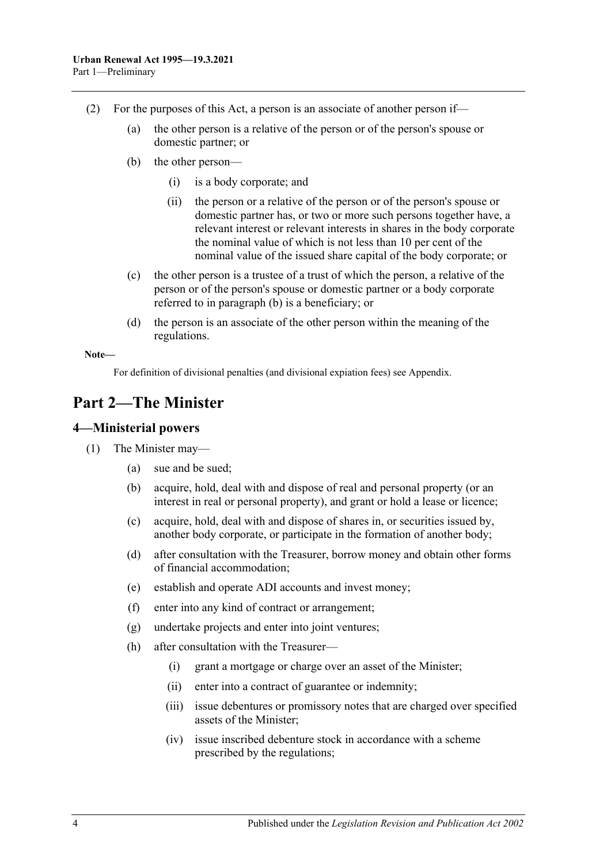- <span id="page-3-2"></span>(2) For the purposes of this Act, a person is an associate of another person if—
	- (a) the other person is a relative of the person or of the person's spouse or domestic partner; or
	- (b) the other person—
		- (i) is a body corporate; and
		- (ii) the person or a relative of the person or of the person's spouse or domestic partner has, or two or more such persons together have, a relevant interest or relevant interests in shares in the body corporate the nominal value of which is not less than 10 per cent of the nominal value of the issued share capital of the body corporate; or
	- (c) the other person is a trustee of a trust of which the person, a relative of the person or of the person's spouse or domestic partner or a body corporate referred to in [paragraph](#page-3-2) (b) is a beneficiary; or
	- (d) the person is an associate of the other person within the meaning of the regulations.

**Note—**

For definition of divisional penalties (and divisional expiation fees) see Appendix.

# <span id="page-3-0"></span>**Part 2—The Minister**

#### <span id="page-3-1"></span>**4—Ministerial powers**

- (1) The Minister may—
	- (a) sue and be sued;
	- (b) acquire, hold, deal with and dispose of real and personal property (or an interest in real or personal property), and grant or hold a lease or licence;
	- (c) acquire, hold, deal with and dispose of shares in, or securities issued by, another body corporate, or participate in the formation of another body;
	- (d) after consultation with the Treasurer, borrow money and obtain other forms of financial accommodation;
	- (e) establish and operate ADI accounts and invest money;
	- (f) enter into any kind of contract or arrangement;
	- (g) undertake projects and enter into joint ventures;
	- (h) after consultation with the Treasurer—
		- (i) grant a mortgage or charge over an asset of the Minister;
		- (ii) enter into a contract of guarantee or indemnity;
		- (iii) issue debentures or promissory notes that are charged over specified assets of the Minister;
		- (iv) issue inscribed debenture stock in accordance with a scheme prescribed by the regulations;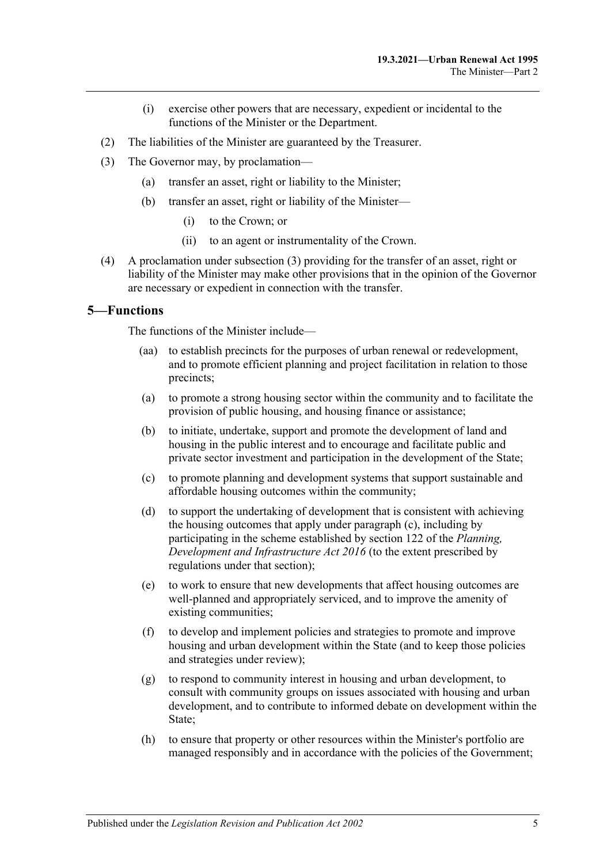- (i) exercise other powers that are necessary, expedient or incidental to the functions of the Minister or the Department.
- (2) The liabilities of the Minister are guaranteed by the Treasurer.
- <span id="page-4-1"></span>(3) The Governor may, by proclamation—
	- (a) transfer an asset, right or liability to the Minister;
	- (b) transfer an asset, right or liability of the Minister—
		- (i) to the Crown; or
		- (ii) to an agent or instrumentality of the Crown.
- (4) A proclamation under [subsection](#page-4-1) (3) providing for the transfer of an asset, right or liability of the Minister may make other provisions that in the opinion of the Governor are necessary or expedient in connection with the transfer.

#### <span id="page-4-0"></span>**5—Functions**

The functions of the Minister include—

- (aa) to establish precincts for the purposes of urban renewal or redevelopment, and to promote efficient planning and project facilitation in relation to those precincts;
- (a) to promote a strong housing sector within the community and to facilitate the provision of public housing, and housing finance or assistance;
- (b) to initiate, undertake, support and promote the development of land and housing in the public interest and to encourage and facilitate public and private sector investment and participation in the development of the State;
- <span id="page-4-2"></span>(c) to promote planning and development systems that support sustainable and affordable housing outcomes within the community;
- (d) to support the undertaking of development that is consistent with achieving the housing outcomes that apply under [paragraph](#page-4-2) (c), including by participating in the scheme established by section 122 of the *[Planning,](http://www.legislation.sa.gov.au/index.aspx?action=legref&type=act&legtitle=Planning%20Development%20and%20Infrastructure%20Act%202016)  [Development and Infrastructure Act](http://www.legislation.sa.gov.au/index.aspx?action=legref&type=act&legtitle=Planning%20Development%20and%20Infrastructure%20Act%202016) 2016* (to the extent prescribed by regulations under that section);
- (e) to work to ensure that new developments that affect housing outcomes are well-planned and appropriately serviced, and to improve the amenity of existing communities;
- (f) to develop and implement policies and strategies to promote and improve housing and urban development within the State (and to keep those policies and strategies under review);
- (g) to respond to community interest in housing and urban development, to consult with community groups on issues associated with housing and urban development, and to contribute to informed debate on development within the State;
- (h) to ensure that property or other resources within the Minister's portfolio are managed responsibly and in accordance with the policies of the Government;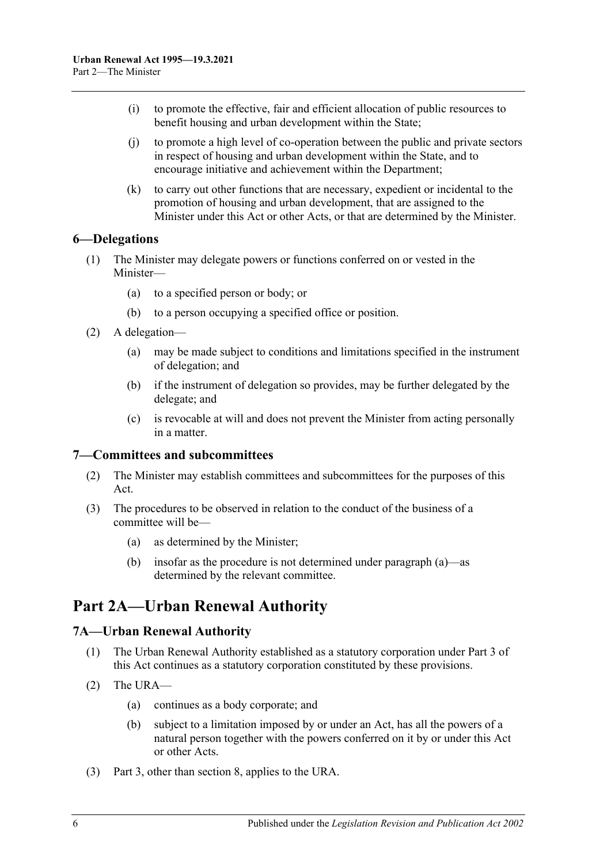- (i) to promote the effective, fair and efficient allocation of public resources to benefit housing and urban development within the State;
- (j) to promote a high level of co-operation between the public and private sectors in respect of housing and urban development within the State, and to encourage initiative and achievement within the Department;
- (k) to carry out other functions that are necessary, expedient or incidental to the promotion of housing and urban development, that are assigned to the Minister under this Act or other Acts, or that are determined by the Minister.

#### <span id="page-5-0"></span>**6—Delegations**

- (1) The Minister may delegate powers or functions conferred on or vested in the Minister—
	- (a) to a specified person or body; or
	- (b) to a person occupying a specified office or position.
- (2) A delegation—
	- (a) may be made subject to conditions and limitations specified in the instrument of delegation; and
	- (b) if the instrument of delegation so provides, may be further delegated by the delegate; and
	- (c) is revocable at will and does not prevent the Minister from acting personally in a matter.

#### <span id="page-5-1"></span>**7—Committees and subcommittees**

- (2) The Minister may establish committees and subcommittees for the purposes of this Act.
- <span id="page-5-4"></span>(3) The procedures to be observed in relation to the conduct of the business of a committee will be—
	- (a) as determined by the Minister;
	- (b) insofar as the procedure is not determined under [paragraph](#page-5-4) (a)—as determined by the relevant committee.

# <span id="page-5-2"></span>**Part 2A—Urban Renewal Authority**

#### <span id="page-5-3"></span>**7A—Urban Renewal Authority**

- (1) The Urban Renewal Authority established as a statutory corporation under [Part 3](#page-18-0) of this Act continues as a statutory corporation constituted by these provisions.
- (2) The URA—
	- (a) continues as a body corporate; and
	- (b) subject to a limitation imposed by or under an Act, has all the powers of a natural person together with the powers conferred on it by or under this Act or other Acts.
- (3) [Part 3,](#page-18-0) other than [section](#page-18-2) 8, applies to the URA.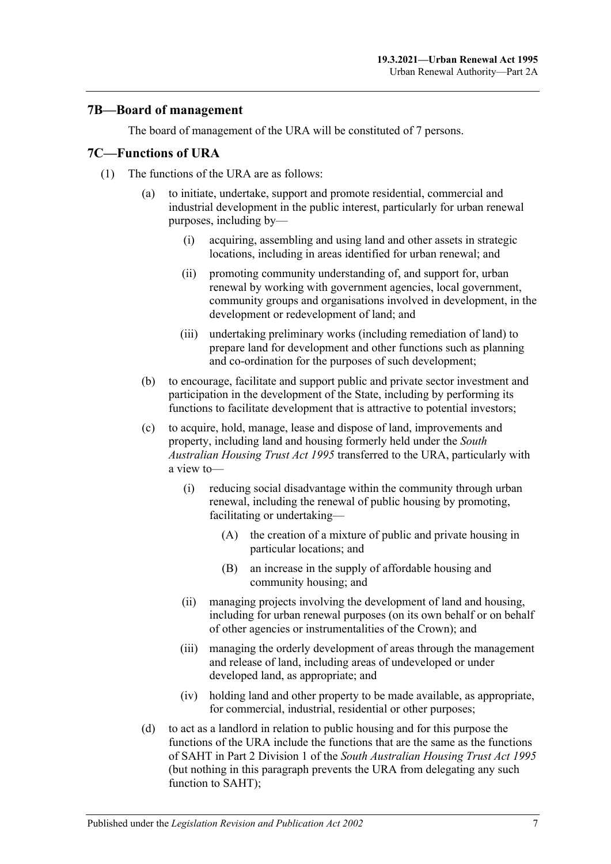#### <span id="page-6-0"></span>**7B—Board of management**

The board of management of the URA will be constituted of 7 persons.

#### <span id="page-6-1"></span>**7C—Functions of URA**

- (1) The functions of the URA are as follows:
	- (a) to initiate, undertake, support and promote residential, commercial and industrial development in the public interest, particularly for urban renewal purposes, including by—
		- (i) acquiring, assembling and using land and other assets in strategic locations, including in areas identified for urban renewal; and
		- (ii) promoting community understanding of, and support for, urban renewal by working with government agencies, local government, community groups and organisations involved in development, in the development or redevelopment of land; and
		- (iii) undertaking preliminary works (including remediation of land) to prepare land for development and other functions such as planning and co-ordination for the purposes of such development;
	- (b) to encourage, facilitate and support public and private sector investment and participation in the development of the State, including by performing its functions to facilitate development that is attractive to potential investors;
	- (c) to acquire, hold, manage, lease and dispose of land, improvements and property, including land and housing formerly held under the *[South](http://www.legislation.sa.gov.au/index.aspx?action=legref&type=act&legtitle=South%20Australian%20Housing%20Trust%20Act%201995)  [Australian Housing Trust Act](http://www.legislation.sa.gov.au/index.aspx?action=legref&type=act&legtitle=South%20Australian%20Housing%20Trust%20Act%201995) 1995* transferred to the URA, particularly with a view to—
		- (i) reducing social disadvantage within the community through urban renewal, including the renewal of public housing by promoting, facilitating or undertaking—
			- (A) the creation of a mixture of public and private housing in particular locations; and
			- (B) an increase in the supply of affordable housing and community housing; and
		- (ii) managing projects involving the development of land and housing, including for urban renewal purposes (on its own behalf or on behalf of other agencies or instrumentalities of the Crown); and
		- (iii) managing the orderly development of areas through the management and release of land, including areas of undeveloped or under developed land, as appropriate; and
		- (iv) holding land and other property to be made available, as appropriate, for commercial, industrial, residential or other purposes;
	- (d) to act as a landlord in relation to public housing and for this purpose the functions of the URA include the functions that are the same as the functions of SAHT in Part 2 Division 1 of the *[South Australian Housing Trust Act](http://www.legislation.sa.gov.au/index.aspx?action=legref&type=act&legtitle=South%20Australian%20Housing%20Trust%20Act%201995) 1995* (but nothing in this paragraph prevents the URA from delegating any such function to SAHT);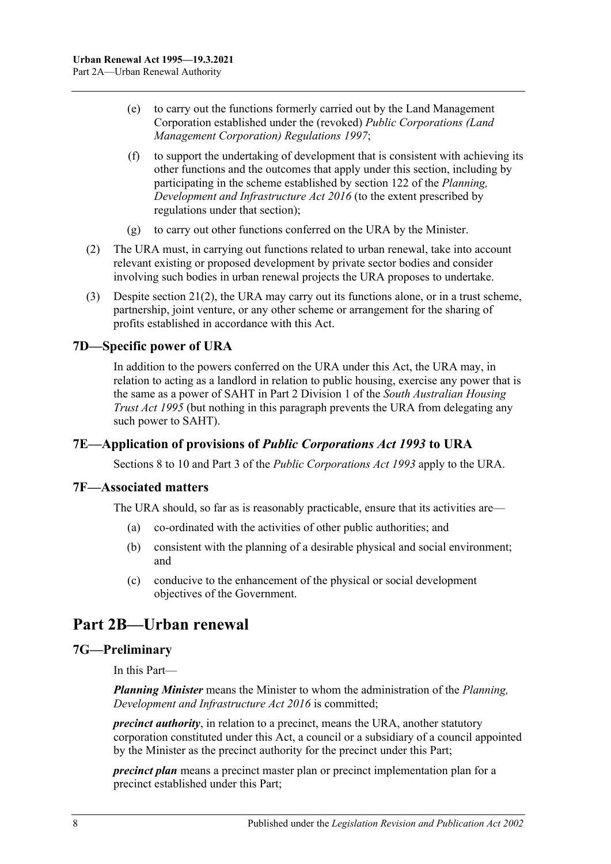- (e) to carry out the functions formerly carried out by the Land Management Corporation established under the (revoked) *[Public Corporations \(Land](http://www.legislation.sa.gov.au/index.aspx?action=legref&type=subordleg&legtitle=Public%20Corporations%20(Land%20Management%20Corporation)%20Regulations%201997)  [Management Corporation\) Regulations](http://www.legislation.sa.gov.au/index.aspx?action=legref&type=subordleg&legtitle=Public%20Corporations%20(Land%20Management%20Corporation)%20Regulations%201997) 1997*;
- (f) to support the undertaking of development that is consistent with achieving its other functions and the outcomes that apply under this section, including by participating in the scheme established by section 122 of the *[Planning,](http://www.legislation.sa.gov.au/index.aspx?action=legref&type=act&legtitle=Planning%20Development%20and%20Infrastructure%20Act%202016)  [Development and Infrastructure Act](http://www.legislation.sa.gov.au/index.aspx?action=legref&type=act&legtitle=Planning%20Development%20and%20Infrastructure%20Act%202016) 2016* (to the extent prescribed by regulations under that section);
- (g) to carry out other functions conferred on the URA by the Minister.
- (2) The URA must, in carrying out functions related to urban renewal, take into account relevant existing or proposed development by private sector bodies and consider involving such bodies in urban renewal projects the URA proposes to undertake.
- (3) Despite [section](#page-23-3) 21(2), the URA may carry out its functions alone, or in a trust scheme, partnership, joint venture, or any other scheme or arrangement for the sharing of profits established in accordance with this Act.

## <span id="page-7-0"></span>**7D—Specific power of URA**

In addition to the powers conferred on the URA under this Act, the URA may, in relation to acting as a landlord in relation to public housing, exercise any power that is the same as a power of SAHT in Part 2 Division 1 of the *[South Australian Housing](http://www.legislation.sa.gov.au/index.aspx?action=legref&type=act&legtitle=South%20Australian%20Housing%20Trust%20Act%201995)  [Trust Act](http://www.legislation.sa.gov.au/index.aspx?action=legref&type=act&legtitle=South%20Australian%20Housing%20Trust%20Act%201995) 1995* (but nothing in this paragraph prevents the URA from delegating any such power to SAHT).

#### <span id="page-7-1"></span>**7E—Application of provisions of** *Public Corporations Act 1993* **to URA**

Sections 8 to 10 and Part 3 of the *[Public Corporations Act](http://www.legislation.sa.gov.au/index.aspx?action=legref&type=act&legtitle=Public%20Corporations%20Act%201993) 1993* apply to the URA.

#### <span id="page-7-2"></span>**7F—Associated matters**

The URA should, so far as is reasonably practicable, ensure that its activities are—

- (a) co-ordinated with the activities of other public authorities; and
- (b) consistent with the planning of a desirable physical and social environment; and
- (c) conducive to the enhancement of the physical or social development objectives of the Government.

# <span id="page-7-3"></span>**Part 2B—Urban renewal**

#### <span id="page-7-4"></span>**7G—Preliminary**

In this Part—

*Planning Minister* means the Minister to whom the administration of the *[Planning,](http://www.legislation.sa.gov.au/index.aspx?action=legref&type=act&legtitle=Planning%20Development%20and%20Infrastructure%20Act%202016)  [Development and Infrastructure Act](http://www.legislation.sa.gov.au/index.aspx?action=legref&type=act&legtitle=Planning%20Development%20and%20Infrastructure%20Act%202016) 2016* is committed;

*precinct authority*, in relation to a precinct, means the URA, another statutory corporation constituted under this Act, a council or a subsidiary of a council appointed by the Minister as the precinct authority for the precinct under this Part;

*precinct plan* means a precinct master plan or precinct implementation plan for a precinct established under this Part;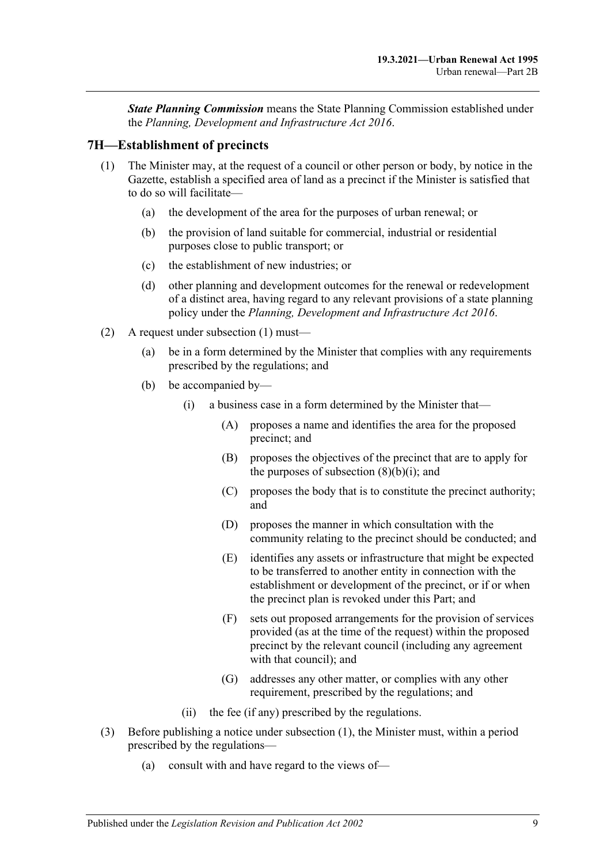*State Planning Commission* means the State Planning Commission established under the *[Planning, Development and Infrastructure Act](http://www.legislation.sa.gov.au/index.aspx?action=legref&type=act&legtitle=Planning%20Development%20and%20Infrastructure%20Act%202016) 2016*.

#### <span id="page-8-1"></span><span id="page-8-0"></span>**7H—Establishment of precincts**

- (1) The Minister may, at the request of a council or other person or body, by notice in the Gazette, establish a specified area of land as a precinct if the Minister is satisfied that to do so will facilitate—
	- (a) the development of the area for the purposes of urban renewal; or
	- (b) the provision of land suitable for commercial, industrial or residential purposes close to public transport; or
	- (c) the establishment of new industries; or
	- (d) other planning and development outcomes for the renewal or redevelopment of a distinct area, having regard to any relevant provisions of a state planning policy under the *[Planning, Development and Infrastructure Act](http://www.legislation.sa.gov.au/index.aspx?action=legref&type=act&legtitle=Planning%20Development%20and%20Infrastructure%20Act%202016) 2016*.
- (2) A request under [subsection](#page-8-1) (1) must—
	- (a) be in a form determined by the Minister that complies with any requirements prescribed by the regulations; and
	- (b) be accompanied by—
		- (i) a business case in a form determined by the Minister that—
			- (A) proposes a name and identifies the area for the proposed precinct; and
			- (B) proposes the objectives of the precinct that are to apply for the purposes of [subsection](#page-9-0)  $(8)(b)(i)$ ; and
			- (C) proposes the body that is to constitute the precinct authority; and
			- (D) proposes the manner in which consultation with the community relating to the precinct should be conducted; and
			- (E) identifies any assets or infrastructure that might be expected to be transferred to another entity in connection with the establishment or development of the precinct, or if or when the precinct plan is revoked under this Part; and
			- (F) sets out proposed arrangements for the provision of services provided (as at the time of the request) within the proposed precinct by the relevant council (including any agreement with that council); and
			- (G) addresses any other matter, or complies with any other requirement, prescribed by the regulations; and
		- (ii) the fee (if any) prescribed by the regulations.
- (3) Before publishing a notice under [subsection](#page-8-1) (1), the Minister must, within a period prescribed by the regulations—
	- (a) consult with and have regard to the views of—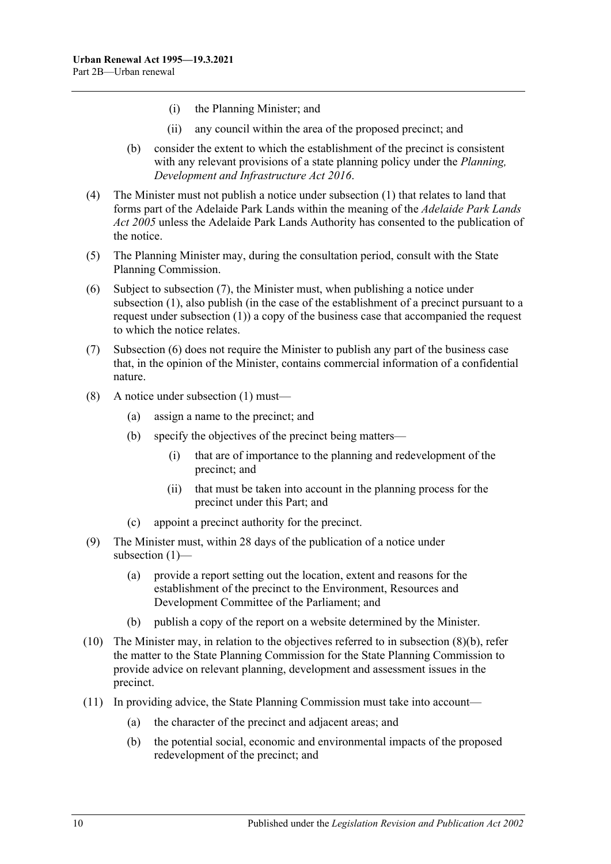- (i) the Planning Minister; and
- (ii) any council within the area of the proposed precinct; and
- (b) consider the extent to which the establishment of the precinct is consistent with any relevant provisions of a state planning policy under the *[Planning,](http://www.legislation.sa.gov.au/index.aspx?action=legref&type=act&legtitle=Planning%20Development%20and%20Infrastructure%20Act%202016)  [Development and Infrastructure Act](http://www.legislation.sa.gov.au/index.aspx?action=legref&type=act&legtitle=Planning%20Development%20and%20Infrastructure%20Act%202016) 2016*.
- (4) The Minister must not publish a notice under [subsection](#page-8-1) (1) that relates to land that forms part of the Adelaide Park Lands within the meaning of the *[Adelaide Park Lands](http://www.legislation.sa.gov.au/index.aspx?action=legref&type=act&legtitle=Adelaide%20Park%20Lands%20Act%202005)  Act [2005](http://www.legislation.sa.gov.au/index.aspx?action=legref&type=act&legtitle=Adelaide%20Park%20Lands%20Act%202005)* unless the Adelaide Park Lands Authority has consented to the publication of the notice.
- (5) The Planning Minister may, during the consultation period, consult with the State Planning Commission.
- <span id="page-9-2"></span>(6) Subject to [subsection](#page-9-1) (7), the Minister must, when publishing a notice under [subsection](#page-8-1) (1), also publish (in the case of the establishment of a precinct pursuant to a request under [subsection](#page-8-1) (1)) a copy of the business case that accompanied the request to which the notice relates.
- <span id="page-9-1"></span>(7) [Subsection](#page-9-2) (6) does not require the Minister to publish any part of the business case that, in the opinion of the Minister, contains commercial information of a confidential nature.
- <span id="page-9-3"></span><span id="page-9-0"></span>(8) A notice under [subsection](#page-8-1) (1) must—
	- (a) assign a name to the precinct; and
	- (b) specify the objectives of the precinct being matters—
		- (i) that are of importance to the planning and redevelopment of the precinct; and
		- (ii) that must be taken into account in the planning process for the precinct under this Part; and
	- (c) appoint a precinct authority for the precinct.
- <span id="page-9-4"></span>(9) The Minister must, within 28 days of the publication of a notice under [subsection](#page-8-1) (1)—
	- (a) provide a report setting out the location, extent and reasons for the establishment of the precinct to the Environment, Resources and Development Committee of the Parliament; and
	- (b) publish a copy of the report on a website determined by the Minister.
- (10) The Minister may, in relation to the objectives referred to in [subsection](#page-9-3)  $(8)(b)$ , refer the matter to the State Planning Commission for the State Planning Commission to provide advice on relevant planning, development and assessment issues in the precinct.
- (11) In providing advice, the State Planning Commission must take into account—
	- (a) the character of the precinct and adjacent areas; and
	- (b) the potential social, economic and environmental impacts of the proposed redevelopment of the precinct; and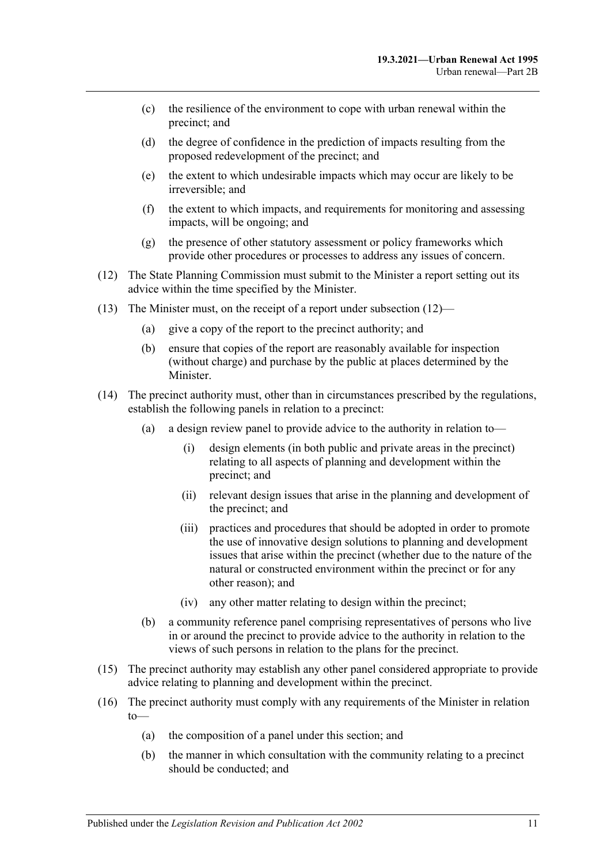- (c) the resilience of the environment to cope with urban renewal within the precinct; and
- (d) the degree of confidence in the prediction of impacts resulting from the proposed redevelopment of the precinct; and
- (e) the extent to which undesirable impacts which may occur are likely to be irreversible; and
- (f) the extent to which impacts, and requirements for monitoring and assessing impacts, will be ongoing; and
- (g) the presence of other statutory assessment or policy frameworks which provide other procedures or processes to address any issues of concern.
- <span id="page-10-0"></span>(12) The State Planning Commission must submit to the Minister a report setting out its advice within the time specified by the Minister.
- (13) The Minister must, on the receipt of a report under [subsection](#page-10-0) (12)—
	- (a) give a copy of the report to the precinct authority; and
	- (b) ensure that copies of the report are reasonably available for inspection (without charge) and purchase by the public at places determined by the Minister.
- <span id="page-10-1"></span>(14) The precinct authority must, other than in circumstances prescribed by the regulations, establish the following panels in relation to a precinct:
	- (a) a design review panel to provide advice to the authority in relation to—
		- (i) design elements (in both public and private areas in the precinct) relating to all aspects of planning and development within the precinct; and
		- (ii) relevant design issues that arise in the planning and development of the precinct; and
		- (iii) practices and procedures that should be adopted in order to promote the use of innovative design solutions to planning and development issues that arise within the precinct (whether due to the nature of the natural or constructed environment within the precinct or for any other reason); and
		- (iv) any other matter relating to design within the precinct;
	- (b) a community reference panel comprising representatives of persons who live in or around the precinct to provide advice to the authority in relation to the views of such persons in relation to the plans for the precinct.
- (15) The precinct authority may establish any other panel considered appropriate to provide advice relating to planning and development within the precinct.
- (16) The precinct authority must comply with any requirements of the Minister in relation  $to$ 
	- (a) the composition of a panel under this section; and
	- (b) the manner in which consultation with the community relating to a precinct should be conducted; and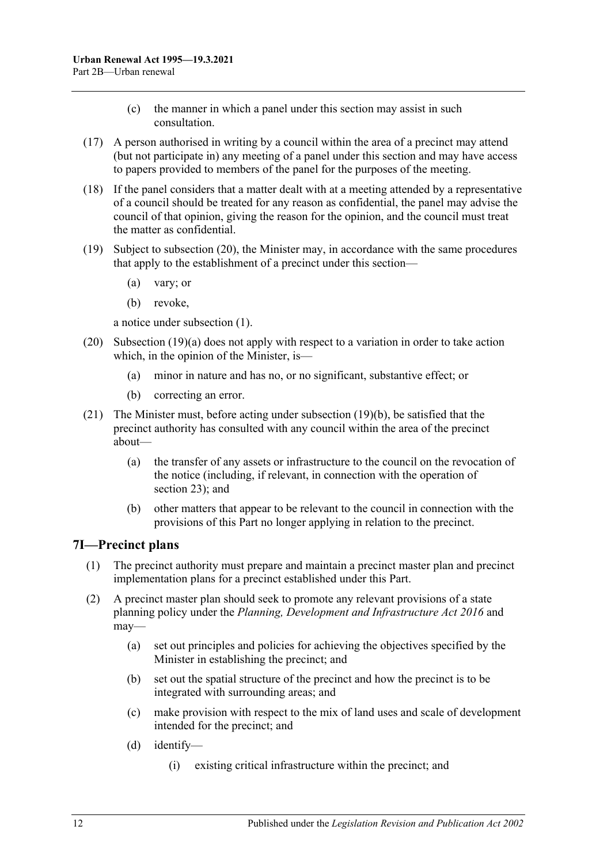- (c) the manner in which a panel under this section may assist in such consultation.
- (17) A person authorised in writing by a council within the area of a precinct may attend (but not participate in) any meeting of a panel under this section and may have access to papers provided to members of the panel for the purposes of the meeting.
- (18) If the panel considers that a matter dealt with at a meeting attended by a representative of a council should be treated for any reason as confidential, the panel may advise the council of that opinion, giving the reason for the opinion, and the council must treat the matter as confidential.
- <span id="page-11-3"></span><span id="page-11-2"></span>(19) Subject to [subsection](#page-11-1) (20), the Minister may, in accordance with the same procedures that apply to the establishment of a precinct under this section—
	- (a) vary; or
	- (b) revoke,

a notice under [subsection](#page-8-1) (1).

- <span id="page-11-1"></span>(20) [Subsection](#page-11-2) (19)(a) does not apply with respect to a variation in order to take action which, in the opinion of the Minister, is—
	- (a) minor in nature and has no, or no significant, substantive effect; or
	- (b) correcting an error.
- (21) The Minister must, before acting under [subsection](#page-11-3) (19)(b), be satisfied that the precinct authority has consulted with any council within the area of the precinct about—
	- (a) the transfer of any assets or infrastructure to the council on the revocation of the notice (including, if relevant, in connection with the operation of [section](#page-23-2) 23); and
	- (b) other matters that appear to be relevant to the council in connection with the provisions of this Part no longer applying in relation to the precinct.

#### <span id="page-11-0"></span>**7I—Precinct plans**

- (1) The precinct authority must prepare and maintain a precinct master plan and precinct implementation plans for a precinct established under this Part.
- (2) A precinct master plan should seek to promote any relevant provisions of a state planning policy under the *[Planning, Development and Infrastructure Act](http://www.legislation.sa.gov.au/index.aspx?action=legref&type=act&legtitle=Planning%20Development%20and%20Infrastructure%20Act%202016) 2016* and may—
	- (a) set out principles and policies for achieving the objectives specified by the Minister in establishing the precinct; and
	- (b) set out the spatial structure of the precinct and how the precinct is to be integrated with surrounding areas; and
	- (c) make provision with respect to the mix of land uses and scale of development intended for the precinct; and
	- (d) identify—
		- (i) existing critical infrastructure within the precinct; and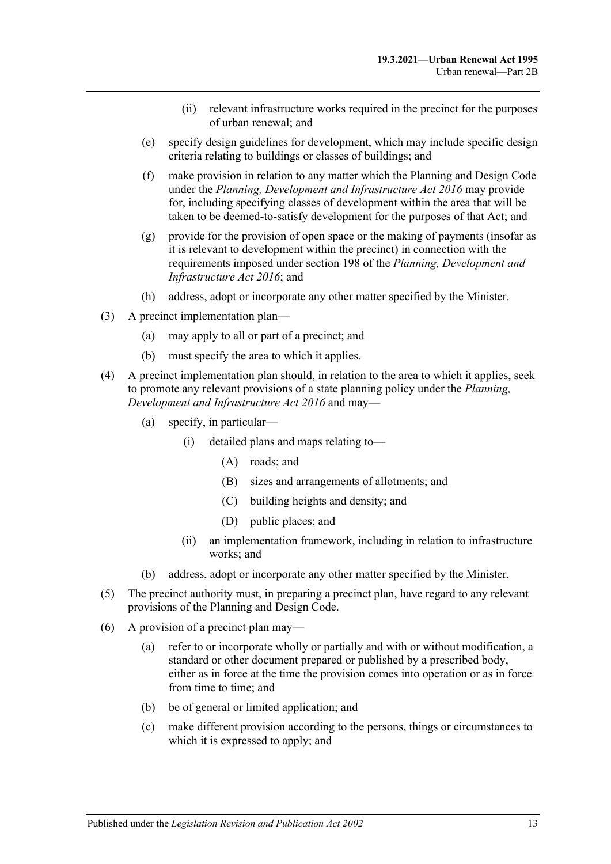- (ii) relevant infrastructure works required in the precinct for the purposes of urban renewal; and
- (e) specify design guidelines for development, which may include specific design criteria relating to buildings or classes of buildings; and
- <span id="page-12-0"></span>(f) make provision in relation to any matter which the Planning and Design Code under the *[Planning, Development and Infrastructure Act](http://www.legislation.sa.gov.au/index.aspx?action=legref&type=act&legtitle=Planning%20Development%20and%20Infrastructure%20Act%202016) 2016* may provide for, including specifying classes of development within the area that will be taken to be deemed-to-satisfy development for the purposes of that Act; and
- <span id="page-12-1"></span>(g) provide for the provision of open space or the making of payments (insofar as it is relevant to development within the precinct) in connection with the requirements imposed under section 198 of the *[Planning, Development and](http://www.legislation.sa.gov.au/index.aspx?action=legref&type=act&legtitle=Planning%20Development%20and%20Infrastructure%20Act%202016)  [Infrastructure Act](http://www.legislation.sa.gov.au/index.aspx?action=legref&type=act&legtitle=Planning%20Development%20and%20Infrastructure%20Act%202016) 2016*; and
- (h) address, adopt or incorporate any other matter specified by the Minister.
- (3) A precinct implementation plan—
	- (a) may apply to all or part of a precinct; and
	- (b) must specify the area to which it applies.
- (4) A precinct implementation plan should, in relation to the area to which it applies, seek to promote any relevant provisions of a state planning policy under the *[Planning,](http://www.legislation.sa.gov.au/index.aspx?action=legref&type=act&legtitle=Planning%20Development%20and%20Infrastructure%20Act%202016)  [Development and Infrastructure Act](http://www.legislation.sa.gov.au/index.aspx?action=legref&type=act&legtitle=Planning%20Development%20and%20Infrastructure%20Act%202016) 2016* and may—
	- (a) specify, in particular—
		- (i) detailed plans and maps relating to—
			- (A) roads; and
			- (B) sizes and arrangements of allotments; and
			- (C) building heights and density; and
			- (D) public places; and
		- (ii) an implementation framework, including in relation to infrastructure works; and
	- (b) address, adopt or incorporate any other matter specified by the Minister.
- (5) The precinct authority must, in preparing a precinct plan, have regard to any relevant provisions of the Planning and Design Code.
- (6) A provision of a precinct plan may—
	- (a) refer to or incorporate wholly or partially and with or without modification, a standard or other document prepared or published by a prescribed body, either as in force at the time the provision comes into operation or as in force from time to time; and
	- (b) be of general or limited application; and
	- (c) make different provision according to the persons, things or circumstances to which it is expressed to apply; and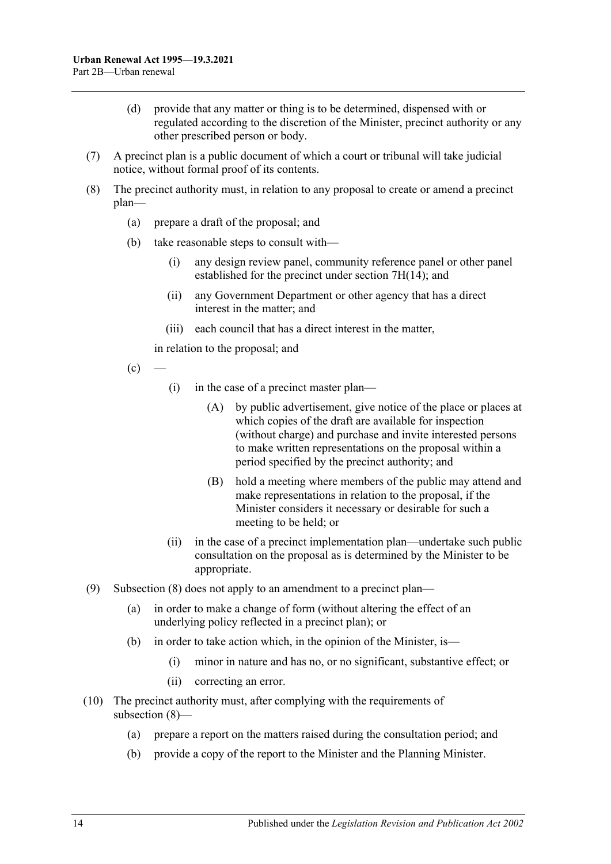- (d) provide that any matter or thing is to be determined, dispensed with or regulated according to the discretion of the Minister, precinct authority or any other prescribed person or body.
- (7) A precinct plan is a public document of which a court or tribunal will take judicial notice, without formal proof of its contents.
- <span id="page-13-0"></span>(8) The precinct authority must, in relation to any proposal to create or amend a precinct plan—
	- (a) prepare a draft of the proposal; and
	- (b) take reasonable steps to consult with—
		- (i) any design review panel, community reference panel or other panel established for the precinct under section [7H\(14\);](#page-10-1) and
		- (ii) any Government Department or other agency that has a direct interest in the matter; and
		- (iii) each council that has a direct interest in the matter,

in relation to the proposal; and

- $(c)$ 
	- (i) in the case of a precinct master plan—
		- (A) by public advertisement, give notice of the place or places at which copies of the draft are available for inspection (without charge) and purchase and invite interested persons to make written representations on the proposal within a period specified by the precinct authority; and
		- (B) hold a meeting where members of the public may attend and make representations in relation to the proposal, if the Minister considers it necessary or desirable for such a meeting to be held; or
	- (ii) in the case of a precinct implementation plan—undertake such public consultation on the proposal as is determined by the Minister to be appropriate.
- (9) [Subsection](#page-13-0) (8) does not apply to an amendment to a precinct plan—
	- (a) in order to make a change of form (without altering the effect of an underlying policy reflected in a precinct plan); or
	- (b) in order to take action which, in the opinion of the Minister, is—
		- (i) minor in nature and has no, or no significant, substantive effect; or
		- (ii) correcting an error.
- <span id="page-13-2"></span><span id="page-13-1"></span>(10) The precinct authority must, after complying with the requirements of [subsection](#page-13-0) (8)—
	- (a) prepare a report on the matters raised during the consultation period; and
	- (b) provide a copy of the report to the Minister and the Planning Minister.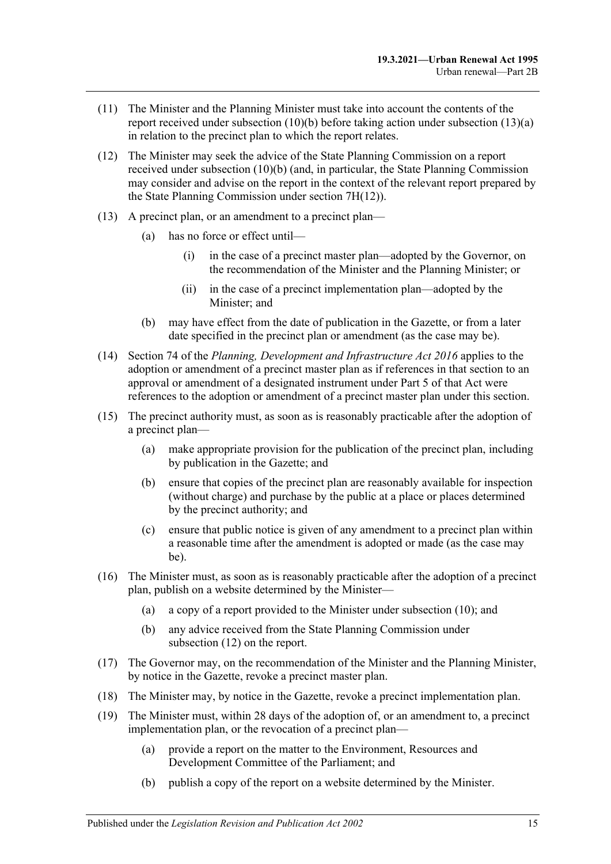- (11) The Minister and the Planning Minister must take into account the contents of the report received under [subsection](#page-13-1) (10)(b) before taking action under [subsection](#page-14-0) (13)(a) in relation to the precinct plan to which the report relates.
- <span id="page-14-1"></span>(12) The Minister may seek the advice of the State Planning Commission on a report received under [subsection](#page-13-1) (10)(b) (and, in particular, the State Planning Commission may consider and advise on the report in the context of the relevant report prepared by the State Planning Commission under section [7H\(12\)\)](#page-10-0).
- <span id="page-14-0"></span>(13) A precinct plan, or an amendment to a precinct plan—
	- (a) has no force or effect until—
		- (i) in the case of a precinct master plan—adopted by the Governor, on the recommendation of the Minister and the Planning Minister; or
		- (ii) in the case of a precinct implementation plan—adopted by the Minister; and
	- (b) may have effect from the date of publication in the Gazette, or from a later date specified in the precinct plan or amendment (as the case may be).
- (14) Section 74 of the *[Planning, Development and Infrastructure Act](http://www.legislation.sa.gov.au/index.aspx?action=legref&type=act&legtitle=Planning%20Development%20and%20Infrastructure%20Act%202016) 2016* applies to the adoption or amendment of a precinct master plan as if references in that section to an approval or amendment of a designated instrument under Part 5 of that Act were references to the adoption or amendment of a precinct master plan under this section.
- (15) The precinct authority must, as soon as is reasonably practicable after the adoption of a precinct plan—
	- (a) make appropriate provision for the publication of the precinct plan, including by publication in the Gazette; and
	- (b) ensure that copies of the precinct plan are reasonably available for inspection (without charge) and purchase by the public at a place or places determined by the precinct authority; and
	- (c) ensure that public notice is given of any amendment to a precinct plan within a reasonable time after the amendment is adopted or made (as the case may be).
- (16) The Minister must, as soon as is reasonably practicable after the adoption of a precinct plan, publish on a website determined by the Minister—
	- (a) a copy of a report provided to the Minister under [subsection](#page-13-2) (10); and
	- (b) any advice received from the State Planning Commission under [subsection](#page-14-1) (12) on the report.
- (17) The Governor may, on the recommendation of the Minister and the Planning Minister, by notice in the Gazette, revoke a precinct master plan.
- (18) The Minister may, by notice in the Gazette, revoke a precinct implementation plan.
- (19) The Minister must, within 28 days of the adoption of, or an amendment to, a precinct implementation plan, or the revocation of a precinct plan—
	- (a) provide a report on the matter to the Environment, Resources and Development Committee of the Parliament; and
	- (b) publish a copy of the report on a website determined by the Minister.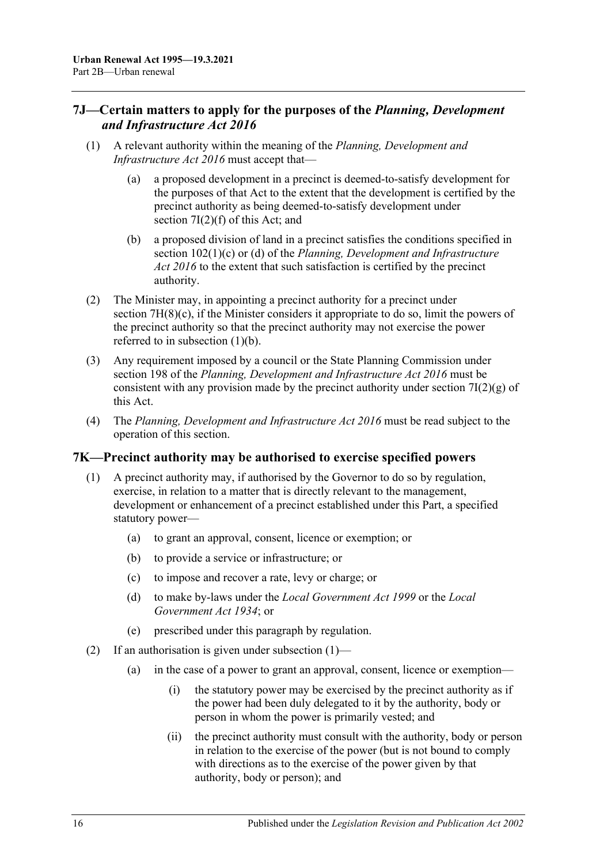## <span id="page-15-0"></span>**7J—Certain matters to apply for the purposes of the** *Planning, Development and Infrastructure Act 2016*

- (1) A relevant authority within the meaning of the *[Planning, Development and](http://www.legislation.sa.gov.au/index.aspx?action=legref&type=act&legtitle=Planning%20Development%20and%20Infrastructure%20Act%202016)  [Infrastructure Act](http://www.legislation.sa.gov.au/index.aspx?action=legref&type=act&legtitle=Planning%20Development%20and%20Infrastructure%20Act%202016) 2016* must accept that—
	- (a) a proposed development in a precinct is deemed-to-satisfy development for the purposes of that Act to the extent that the development is certified by the precinct authority as being deemed-to-satisfy development under section [7I\(2\)\(f\)](#page-12-0) of this Act; and
	- (b) a proposed division of land in a precinct satisfies the conditions specified in section 102(1)(c) or (d) of the *[Planning, Development and Infrastructure](http://www.legislation.sa.gov.au/index.aspx?action=legref&type=act&legtitle=Planning%20Development%20and%20Infrastructure%20Act%202016)  Act [2016](http://www.legislation.sa.gov.au/index.aspx?action=legref&type=act&legtitle=Planning%20Development%20and%20Infrastructure%20Act%202016)* to the extent that such satisfaction is certified by the precinct authority.
- (2) The Minister may, in appointing a precinct authority for a precinct under section [7H\(8\)\(c\),](#page-9-4) if the Minister considers it appropriate to do so, limit the powers of the precinct authority so that the precinct authority may not exercise the power referred to in subsection (1)(b).
- (3) Any requirement imposed by a council or the State Planning Commission under section 198 of the *[Planning, Development and Infrastructure Act](http://www.legislation.sa.gov.au/index.aspx?action=legref&type=act&legtitle=Planning%20Development%20and%20Infrastructure%20Act%202016) 2016* must be consistent with any provision made by the precinct authority under section  $7I(2)(g)$  of this Act.
- (4) The *[Planning, Development and Infrastructure Act](http://www.legislation.sa.gov.au/index.aspx?action=legref&type=act&legtitle=Planning%20Development%20and%20Infrastructure%20Act%202016) 2016* must be read subject to the operation of this section.

#### <span id="page-15-2"></span><span id="page-15-1"></span>**7K—Precinct authority may be authorised to exercise specified powers**

- (1) A precinct authority may, if authorised by the Governor to do so by regulation, exercise, in relation to a matter that is directly relevant to the management, development or enhancement of a precinct established under this Part, a specified statutory power—
	- (a) to grant an approval, consent, licence or exemption; or
	- (b) to provide a service or infrastructure; or
	- (c) to impose and recover a rate, levy or charge; or
	- (d) to make by-laws under the *[Local Government Act](http://www.legislation.sa.gov.au/index.aspx?action=legref&type=act&legtitle=Local%20Government%20Act%201999) 1999* or the *[Local](http://www.legislation.sa.gov.au/index.aspx?action=legref&type=act&legtitle=Local%20Government%20Act%201934)  [Government Act](http://www.legislation.sa.gov.au/index.aspx?action=legref&type=act&legtitle=Local%20Government%20Act%201934) 1934*; or
	- (e) prescribed under this paragraph by regulation.
- <span id="page-15-5"></span><span id="page-15-4"></span><span id="page-15-3"></span>(2) If an authorisation is given under [subsection](#page-15-2) (1)—
	- (a) in the case of a power to grant an approval, consent, licence or exemption—
		- (i) the statutory power may be exercised by the precinct authority as if the power had been duly delegated to it by the authority, body or person in whom the power is primarily vested; and
		- (ii) the precinct authority must consult with the authority, body or person in relation to the exercise of the power (but is not bound to comply with directions as to the exercise of the power given by that authority, body or person); and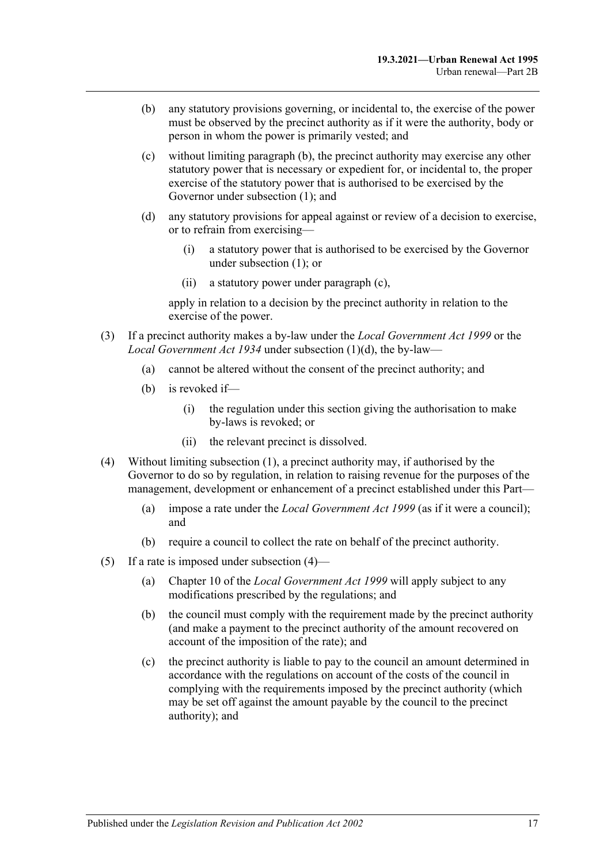- <span id="page-16-0"></span>(b) any statutory provisions governing, or incidental to, the exercise of the power must be observed by the precinct authority as if it were the authority, body or person in whom the power is primarily vested; and
- <span id="page-16-1"></span>(c) without limiting [paragraph](#page-16-0) (b), the precinct authority may exercise any other statutory power that is necessary or expedient for, or incidental to, the proper exercise of the statutory power that is authorised to be exercised by the Governor under [subsection](#page-15-2) (1); and
- (d) any statutory provisions for appeal against or review of a decision to exercise, or to refrain from exercising—
	- (i) a statutory power that is authorised to be exercised by the Governor under [subsection](#page-15-2) (1); or
	- (ii) a statutory power under [paragraph](#page-16-1) (c),

apply in relation to a decision by the precinct authority in relation to the exercise of the power.

- (3) If a precinct authority makes a by-law under the *[Local Government Act](http://www.legislation.sa.gov.au/index.aspx?action=legref&type=act&legtitle=Local%20Government%20Act%201999) 1999* or the *[Local Government Act](http://www.legislation.sa.gov.au/index.aspx?action=legref&type=act&legtitle=Local%20Government%20Act%201934) 1934* under [subsection](#page-15-3) (1)(d), the by-law—
	- (a) cannot be altered without the consent of the precinct authority; and
	- (b) is revoked if—
		- (i) the regulation under this section giving the authorisation to make by-laws is revoked; or
		- (ii) the relevant precinct is dissolved.
- <span id="page-16-3"></span><span id="page-16-2"></span>(4) Without limiting [subsection](#page-15-2) (1), a precinct authority may, if authorised by the Governor to do so by regulation, in relation to raising revenue for the purposes of the management, development or enhancement of a precinct established under this Part—
	- (a) impose a rate under the *[Local Government Act](http://www.legislation.sa.gov.au/index.aspx?action=legref&type=act&legtitle=Local%20Government%20Act%201999) 1999* (as if it were a council); and
	- (b) require a council to collect the rate on behalf of the precinct authority.
- (5) If a rate is imposed under [subsection](#page-16-2) (4)—
	- (a) Chapter 10 of the *[Local Government Act](http://www.legislation.sa.gov.au/index.aspx?action=legref&type=act&legtitle=Local%20Government%20Act%201999) 1999* will apply subject to any modifications prescribed by the regulations; and
	- (b) the council must comply with the requirement made by the precinct authority (and make a payment to the precinct authority of the amount recovered on account of the imposition of the rate); and
	- (c) the precinct authority is liable to pay to the council an amount determined in accordance with the regulations on account of the costs of the council in complying with the requirements imposed by the precinct authority (which may be set off against the amount payable by the council to the precinct authority); and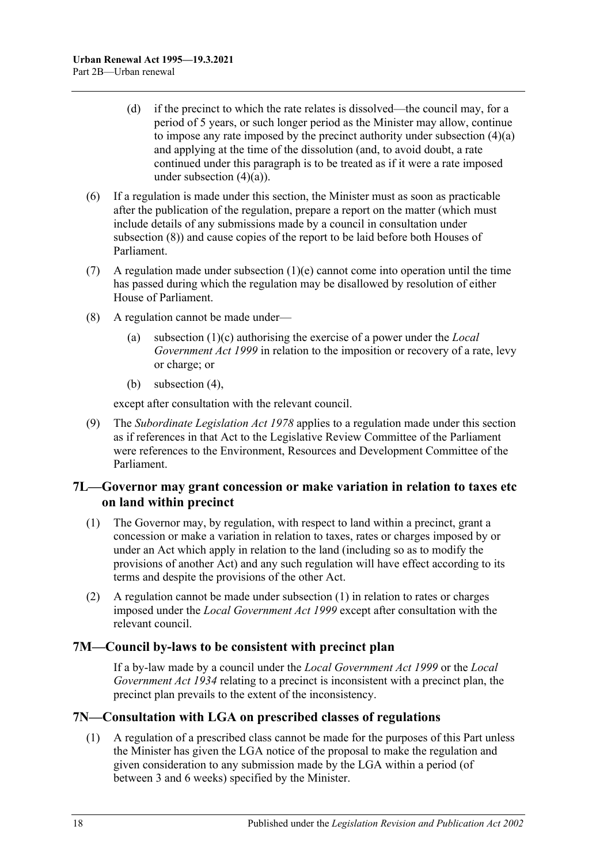- (d) if the precinct to which the rate relates is dissolved—the council may, for a period of 5 years, or such longer period as the Minister may allow, continue to impose any rate imposed by the precinct authority under [subsection](#page-16-3) (4)(a) and applying at the time of the dissolution (and, to avoid doubt, a rate continued under this paragraph is to be treated as if it were a rate imposed under [subsection](#page-16-3)  $(4)(a)$ ).
- (6) If a regulation is made under this section, the Minister must as soon as practicable after the publication of the regulation, prepare a report on the matter (which must include details of any submissions made by a council in consultation under [subsection](#page-17-3) (8)) and cause copies of the report to be laid before both Houses of Parliament.
- (7) A regulation made under [subsection](#page-15-4)  $(1)(e)$  cannot come into operation until the time has passed during which the regulation may be disallowed by resolution of either House of Parliament.
- <span id="page-17-3"></span>(8) A regulation cannot be made under—
	- (a) [subsection](#page-15-5) (1)(c) authorising the exercise of a power under the *[Local](http://www.legislation.sa.gov.au/index.aspx?action=legref&type=act&legtitle=Local%20Government%20Act%201999)  [Government Act](http://www.legislation.sa.gov.au/index.aspx?action=legref&type=act&legtitle=Local%20Government%20Act%201999) 1999* in relation to the imposition or recovery of a rate, levy or charge; or
	- (b) [subsection](#page-16-2) (4),

except after consultation with the relevant council.

(9) The *[Subordinate Legislation Act](http://www.legislation.sa.gov.au/index.aspx?action=legref&type=act&legtitle=Subordinate%20Legislation%20Act%201978) 1978* applies to a regulation made under this section as if references in that Act to the Legislative Review Committee of the Parliament were references to the Environment, Resources and Development Committee of the Parliament.

#### <span id="page-17-0"></span>**7L—Governor may grant concession or make variation in relation to taxes etc on land within precinct**

- <span id="page-17-4"></span>(1) The Governor may, by regulation, with respect to land within a precinct, grant a concession or make a variation in relation to taxes, rates or charges imposed by or under an Act which apply in relation to the land (including so as to modify the provisions of another Act) and any such regulation will have effect according to its terms and despite the provisions of the other Act.
- (2) A regulation cannot be made under [subsection](#page-17-4) (1) in relation to rates or charges imposed under the *[Local Government Act](http://www.legislation.sa.gov.au/index.aspx?action=legref&type=act&legtitle=Local%20Government%20Act%201999) 1999* except after consultation with the relevant council.

## <span id="page-17-1"></span>**7M—Council by-laws to be consistent with precinct plan**

If a by-law made by a council under the *[Local Government Act](http://www.legislation.sa.gov.au/index.aspx?action=legref&type=act&legtitle=Local%20Government%20Act%201999) 1999* or the *[Local](http://www.legislation.sa.gov.au/index.aspx?action=legref&type=act&legtitle=Local%20Government%20Act%201934)  [Government Act](http://www.legislation.sa.gov.au/index.aspx?action=legref&type=act&legtitle=Local%20Government%20Act%201934) 1934* relating to a precinct is inconsistent with a precinct plan, the precinct plan prevails to the extent of the inconsistency.

## <span id="page-17-2"></span>**7N—Consultation with LGA on prescribed classes of regulations**

(1) A regulation of a prescribed class cannot be made for the purposes of this Part unless the Minister has given the LGA notice of the proposal to make the regulation and given consideration to any submission made by the LGA within a period (of between 3 and 6 weeks) specified by the Minister.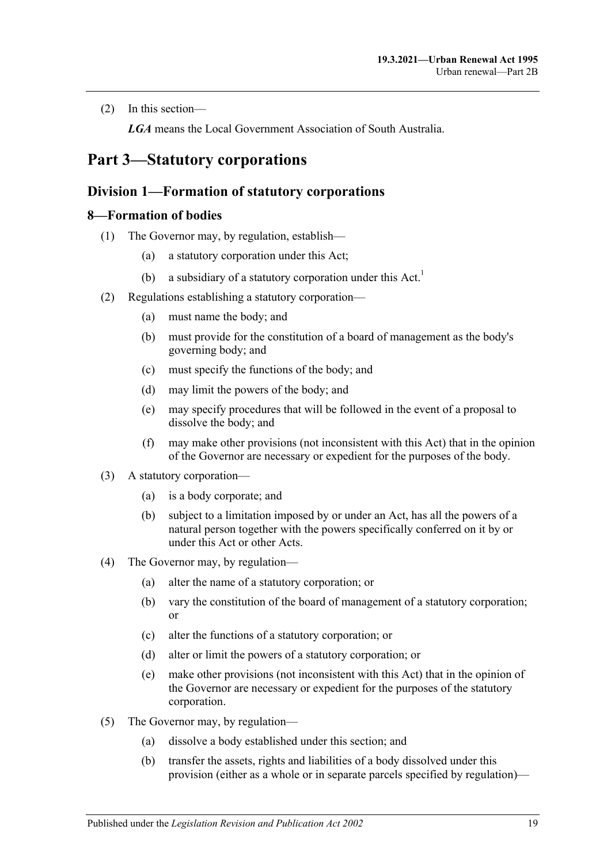(2) In this section—

*LGA* means the Local Government Association of South Australia.

# <span id="page-18-1"></span><span id="page-18-0"></span>**Part 3—Statutory corporations**

#### **Division 1—Formation of statutory corporations**

#### <span id="page-18-2"></span>**8—Formation of bodies**

- (1) The Governor may, by regulation, establish—
	- (a) a statutory corporation under this Act;
	- (b) a subsidiary of a statutory corporation under this  $Act.$ <sup>1</sup>
- <span id="page-18-4"></span>(2) Regulations establishing a statutory corporation—
	- (a) must name the body; and
	- (b) must provide for the constitution of a board of management as the body's governing body; and
	- (c) must specify the functions of the body; and
	- (d) may limit the powers of the body; and
	- (e) may specify procedures that will be followed in the event of a proposal to dissolve the body; and
	- (f) may make other provisions (not inconsistent with this Act) that in the opinion of the Governor are necessary or expedient for the purposes of the body.
- <span id="page-18-3"></span>(3) A statutory corporation—
	- (a) is a body corporate; and
	- (b) subject to a limitation imposed by or under an Act, has all the powers of a natural person together with the powers specifically conferred on it by or under this Act or other Acts.
- (4) The Governor may, by regulation—
	- (a) alter the name of a statutory corporation; or
	- (b) vary the constitution of the board of management of a statutory corporation; or
	- (c) alter the functions of a statutory corporation; or
	- (d) alter or limit the powers of a statutory corporation; or
	- (e) make other provisions (not inconsistent with this Act) that in the opinion of the Governor are necessary or expedient for the purposes of the statutory corporation.
- (5) The Governor may, by regulation—
	- (a) dissolve a body established under this section; and
	- (b) transfer the assets, rights and liabilities of a body dissolved under this provision (either as a whole or in separate parcels specified by regulation)—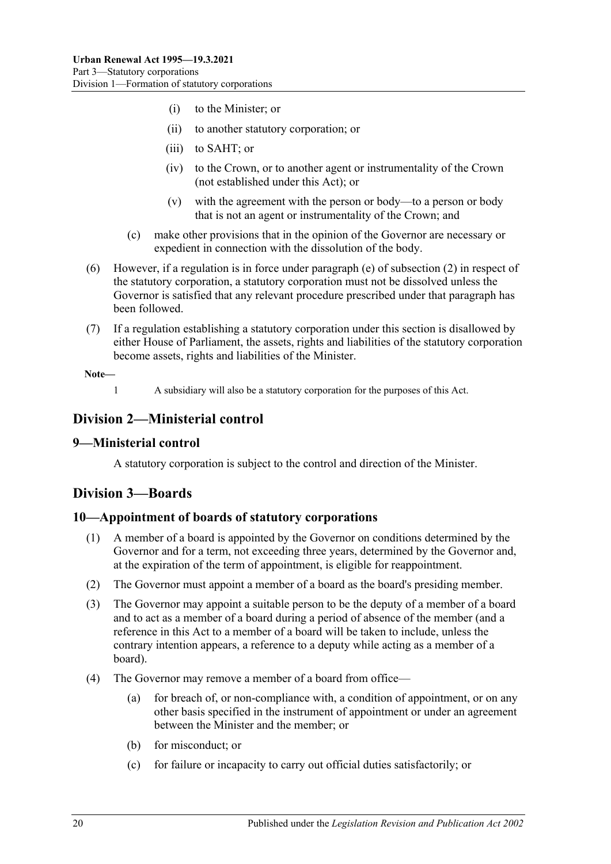- (i) to the Minister; or
- (ii) to another statutory corporation; or
- (iii) to SAHT; or
- (iv) to the Crown, or to another agent or instrumentality of the Crown (not established under this Act); or
- (v) with the agreement with the person or body—to a person or body that is not an agent or instrumentality of the Crown; and
- (c) make other provisions that in the opinion of the Governor are necessary or expedient in connection with the dissolution of the body.
- (6) However, if a regulation is in force under [paragraph](#page-18-3) (e) of [subsection](#page-18-4) (2) in respect of the statutory corporation, a statutory corporation must not be dissolved unless the Governor is satisfied that any relevant procedure prescribed under that paragraph has been followed.
- (7) If a regulation establishing a statutory corporation under this section is disallowed by either House of Parliament, the assets, rights and liabilities of the statutory corporation become assets, rights and liabilities of the Minister.

**Note—**

1 A subsidiary will also be a statutory corporation for the purposes of this Act.

## <span id="page-19-0"></span>**Division 2—Ministerial control**

#### <span id="page-19-1"></span>**9—Ministerial control**

A statutory corporation is subject to the control and direction of the Minister.

## <span id="page-19-2"></span>**Division 3—Boards**

#### <span id="page-19-3"></span>**10—Appointment of boards of statutory corporations**

- (1) A member of a board is appointed by the Governor on conditions determined by the Governor and for a term, not exceeding three years, determined by the Governor and, at the expiration of the term of appointment, is eligible for reappointment.
- (2) The Governor must appoint a member of a board as the board's presiding member.
- (3) The Governor may appoint a suitable person to be the deputy of a member of a board and to act as a member of a board during a period of absence of the member (and a reference in this Act to a member of a board will be taken to include, unless the contrary intention appears, a reference to a deputy while acting as a member of a board).
- <span id="page-19-4"></span>(4) The Governor may remove a member of a board from office—
	- (a) for breach of, or non-compliance with, a condition of appointment, or on any other basis specified in the instrument of appointment or under an agreement between the Minister and the member; or
	- (b) for misconduct; or
	- (c) for failure or incapacity to carry out official duties satisfactorily; or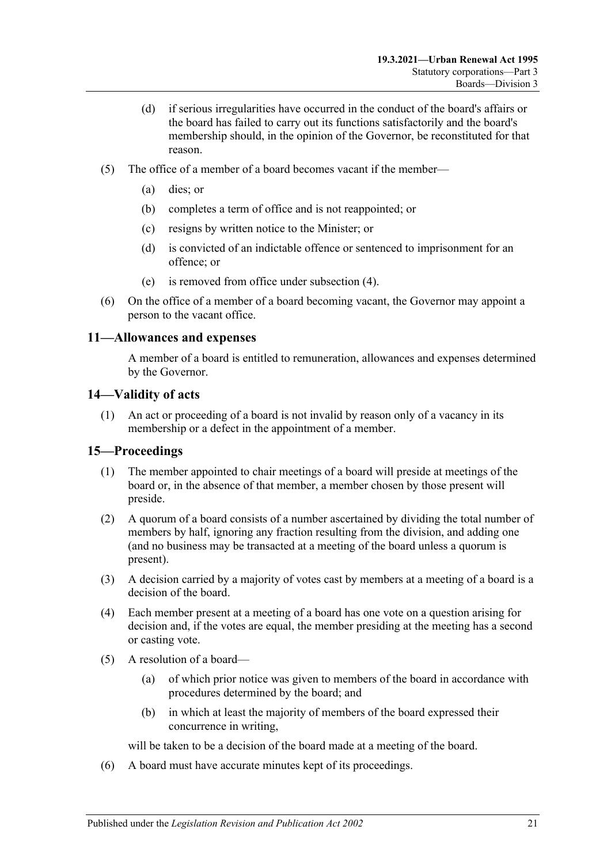- (d) if serious irregularities have occurred in the conduct of the board's affairs or the board has failed to carry out its functions satisfactorily and the board's membership should, in the opinion of the Governor, be reconstituted for that reason.
- (5) The office of a member of a board becomes vacant if the member—
	- (a) dies; or
	- (b) completes a term of office and is not reappointed; or
	- (c) resigns by written notice to the Minister; or
	- (d) is convicted of an indictable offence or sentenced to imprisonment for an offence; or
	- (e) is removed from office under [subsection](#page-19-4) (4).
- (6) On the office of a member of a board becoming vacant, the Governor may appoint a person to the vacant office.

## <span id="page-20-0"></span>**11—Allowances and expenses**

A member of a board is entitled to remuneration, allowances and expenses determined by the Governor.

#### <span id="page-20-1"></span>**14—Validity of acts**

(1) An act or proceeding of a board is not invalid by reason only of a vacancy in its membership or a defect in the appointment of a member.

#### <span id="page-20-2"></span>**15—Proceedings**

- (1) The member appointed to chair meetings of a board will preside at meetings of the board or, in the absence of that member, a member chosen by those present will preside.
- (2) A quorum of a board consists of a number ascertained by dividing the total number of members by half, ignoring any fraction resulting from the division, and adding one (and no business may be transacted at a meeting of the board unless a quorum is present).
- (3) A decision carried by a majority of votes cast by members at a meeting of a board is a decision of the board.
- (4) Each member present at a meeting of a board has one vote on a question arising for decision and, if the votes are equal, the member presiding at the meeting has a second or casting vote.
- (5) A resolution of a board—
	- (a) of which prior notice was given to members of the board in accordance with procedures determined by the board; and
	- (b) in which at least the majority of members of the board expressed their concurrence in writing,

will be taken to be a decision of the board made at a meeting of the board.

(6) A board must have accurate minutes kept of its proceedings.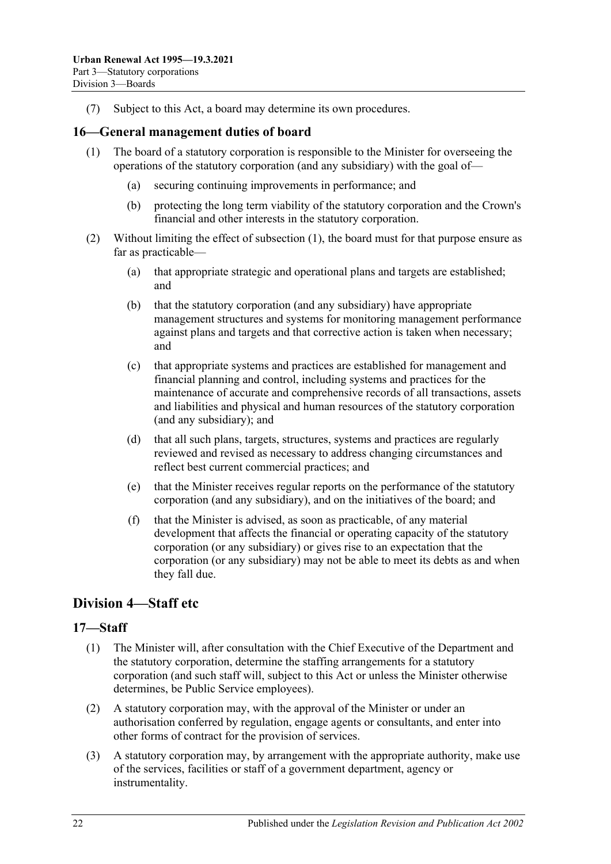(7) Subject to this Act, a board may determine its own procedures.

#### <span id="page-21-3"></span><span id="page-21-0"></span>**16—General management duties of board**

- (1) The board of a statutory corporation is responsible to the Minister for overseeing the operations of the statutory corporation (and any subsidiary) with the goal of—
	- (a) securing continuing improvements in performance; and
	- (b) protecting the long term viability of the statutory corporation and the Crown's financial and other interests in the statutory corporation.
- (2) Without limiting the effect of [subsection](#page-21-3) (1), the board must for that purpose ensure as far as practicable—
	- (a) that appropriate strategic and operational plans and targets are established; and
	- (b) that the statutory corporation (and any subsidiary) have appropriate management structures and systems for monitoring management performance against plans and targets and that corrective action is taken when necessary; and
	- (c) that appropriate systems and practices are established for management and financial planning and control, including systems and practices for the maintenance of accurate and comprehensive records of all transactions, assets and liabilities and physical and human resources of the statutory corporation (and any subsidiary); and
	- (d) that all such plans, targets, structures, systems and practices are regularly reviewed and revised as necessary to address changing circumstances and reflect best current commercial practices; and
	- (e) that the Minister receives regular reports on the performance of the statutory corporation (and any subsidiary), and on the initiatives of the board; and
	- (f) that the Minister is advised, as soon as practicable, of any material development that affects the financial or operating capacity of the statutory corporation (or any subsidiary) or gives rise to an expectation that the corporation (or any subsidiary) may not be able to meet its debts as and when they fall due.

## <span id="page-21-1"></span>**Division 4—Staff etc**

#### <span id="page-21-2"></span>**17—Staff**

- (1) The Minister will, after consultation with the Chief Executive of the Department and the statutory corporation, determine the staffing arrangements for a statutory corporation (and such staff will, subject to this Act or unless the Minister otherwise determines, be Public Service employees).
- (2) A statutory corporation may, with the approval of the Minister or under an authorisation conferred by regulation, engage agents or consultants, and enter into other forms of contract for the provision of services.
- (3) A statutory corporation may, by arrangement with the appropriate authority, make use of the services, facilities or staff of a government department, agency or instrumentality.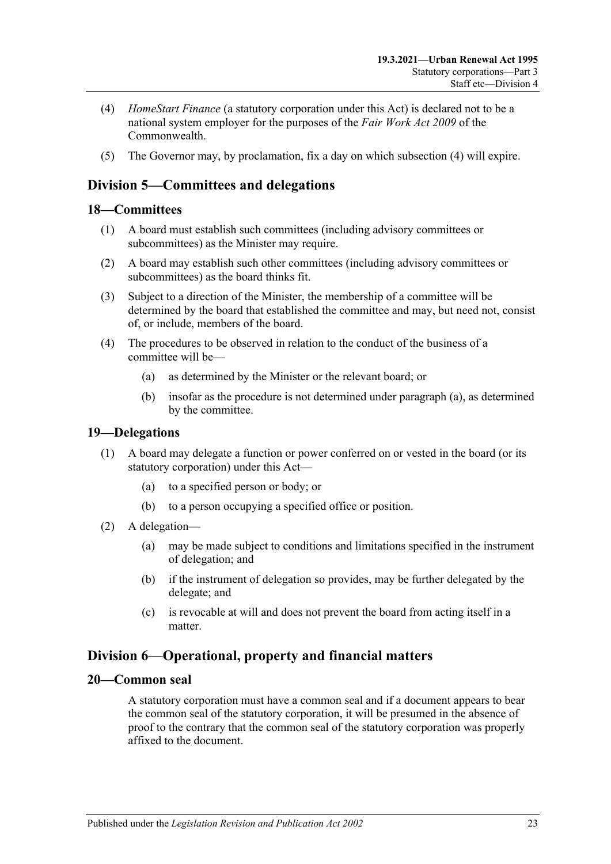- <span id="page-22-5"></span>(4) *HomeStart Finance* (a statutory corporation under this Act) is declared not to be a national system employer for the purposes of the *Fair Work Act 2009* of the Commonwealth.
- (5) The Governor may, by proclamation, fix a day on which [subsection](#page-22-5) (4) will expire.

## <span id="page-22-0"></span>**Division 5—Committees and delegations**

#### <span id="page-22-1"></span>**18—Committees**

- (1) A board must establish such committees (including advisory committees or subcommittees) as the Minister may require.
- (2) A board may establish such other committees (including advisory committees or subcommittees) as the board thinks fit.
- (3) Subject to a direction of the Minister, the membership of a committee will be determined by the board that established the committee and may, but need not, consist of, or include, members of the board.
- <span id="page-22-6"></span>(4) The procedures to be observed in relation to the conduct of the business of a committee will be—
	- (a) as determined by the Minister or the relevant board; or
	- (b) insofar as the procedure is not determined under [paragraph](#page-22-6) (a), as determined by the committee.

#### <span id="page-22-2"></span>**19—Delegations**

- (1) A board may delegate a function or power conferred on or vested in the board (or its statutory corporation) under this Act—
	- (a) to a specified person or body; or
	- (b) to a person occupying a specified office or position.
- (2) A delegation—
	- (a) may be made subject to conditions and limitations specified in the instrument of delegation; and
	- (b) if the instrument of delegation so provides, may be further delegated by the delegate; and
	- (c) is revocable at will and does not prevent the board from acting itself in a matter.

## <span id="page-22-3"></span>**Division 6—Operational, property and financial matters**

#### <span id="page-22-4"></span>**20—Common seal**

A statutory corporation must have a common seal and if a document appears to bear the common seal of the statutory corporation, it will be presumed in the absence of proof to the contrary that the common seal of the statutory corporation was properly affixed to the document.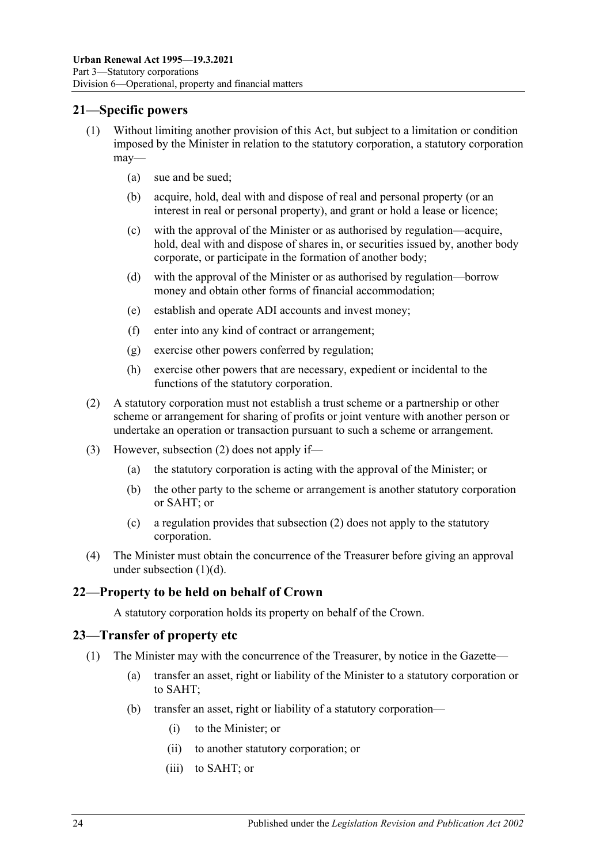## <span id="page-23-0"></span>**21—Specific powers**

- (1) Without limiting another provision of this Act, but subject to a limitation or condition imposed by the Minister in relation to the statutory corporation, a statutory corporation may—
	- (a) sue and be sued;
	- (b) acquire, hold, deal with and dispose of real and personal property (or an interest in real or personal property), and grant or hold a lease or licence;
	- (c) with the approval of the Minister or as authorised by regulation—acquire, hold, deal with and dispose of shares in, or securities issued by, another body corporate, or participate in the formation of another body;
	- (d) with the approval of the Minister or as authorised by regulation—borrow money and obtain other forms of financial accommodation;
	- (e) establish and operate ADI accounts and invest money;
	- (f) enter into any kind of contract or arrangement;
	- (g) exercise other powers conferred by regulation;
	- (h) exercise other powers that are necessary, expedient or incidental to the functions of the statutory corporation.
- <span id="page-23-4"></span><span id="page-23-3"></span>(2) A statutory corporation must not establish a trust scheme or a partnership or other scheme or arrangement for sharing of profits or joint venture with another person or undertake an operation or transaction pursuant to such a scheme or arrangement.
- (3) However, [subsection](#page-23-3) (2) does not apply if—
	- (a) the statutory corporation is acting with the approval of the Minister; or
	- (b) the other party to the scheme or arrangement is another statutory corporation or SAHT; or
	- (c) a regulation provides that [subsection](#page-23-3) (2) does not apply to the statutory corporation.
- (4) The Minister must obtain the concurrence of the Treasurer before giving an approval under [subsection](#page-23-4) (1)(d).

## <span id="page-23-1"></span>**22—Property to be held on behalf of Crown**

A statutory corporation holds its property on behalf of the Crown.

## <span id="page-23-5"></span><span id="page-23-2"></span>**23—Transfer of property etc**

- <span id="page-23-6"></span>(1) The Minister may with the concurrence of the Treasurer, by notice in the Gazette—
	- (a) transfer an asset, right or liability of the Minister to a statutory corporation or to SAHT;
	- (b) transfer an asset, right or liability of a statutory corporation—
		- (i) to the Minister; or
		- (ii) to another statutory corporation; or
		- (iii) to SAHT; or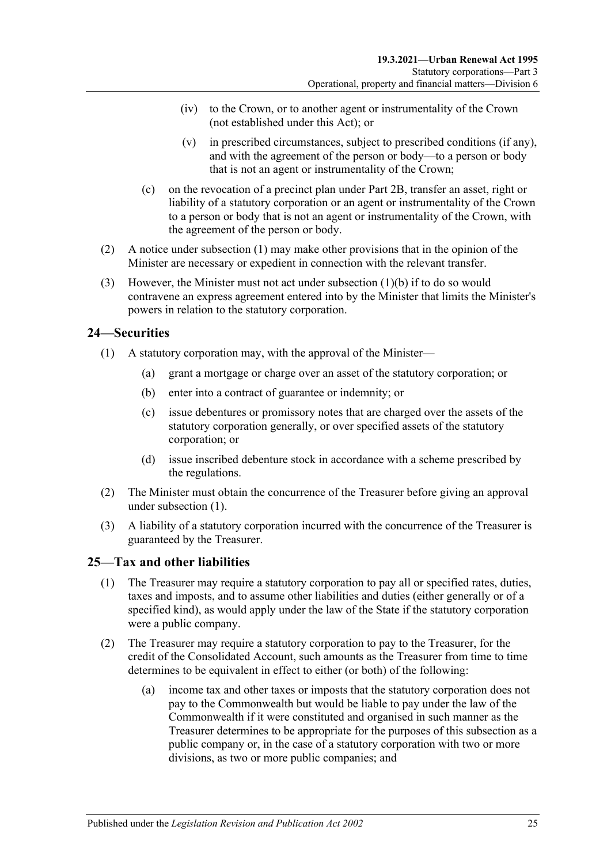- (iv) to the Crown, or to another agent or instrumentality of the Crown (not established under this Act); or
- (v) in prescribed circumstances, subject to prescribed conditions (if any), and with the agreement of the person or body—to a person or body that is not an agent or instrumentality of the Crown;
- (c) on the revocation of a precinct plan under [Part 2B,](#page-7-3) transfer an asset, right or liability of a statutory corporation or an agent or instrumentality of the Crown to a person or body that is not an agent or instrumentality of the Crown, with the agreement of the person or body.
- (2) A notice under [subsection](#page-23-5) (1) may make other provisions that in the opinion of the Minister are necessary or expedient in connection with the relevant transfer.
- (3) However, the Minister must not act under [subsection](#page-23-6)  $(1)(b)$  if to do so would contravene an express agreement entered into by the Minister that limits the Minister's powers in relation to the statutory corporation.

## <span id="page-24-2"></span><span id="page-24-0"></span>**24—Securities**

- (1) A statutory corporation may, with the approval of the Minister—
	- (a) grant a mortgage or charge over an asset of the statutory corporation; or
	- (b) enter into a contract of guarantee or indemnity; or
	- (c) issue debentures or promissory notes that are charged over the assets of the statutory corporation generally, or over specified assets of the statutory corporation; or
	- (d) issue inscribed debenture stock in accordance with a scheme prescribed by the regulations.
- (2) The Minister must obtain the concurrence of the Treasurer before giving an approval under [subsection](#page-24-2) (1).
- (3) A liability of a statutory corporation incurred with the concurrence of the Treasurer is guaranteed by the Treasurer.

## <span id="page-24-1"></span>**25—Tax and other liabilities**

- (1) The Treasurer may require a statutory corporation to pay all or specified rates, duties, taxes and imposts, and to assume other liabilities and duties (either generally or of a specified kind), as would apply under the law of the State if the statutory corporation were a public company.
- <span id="page-24-3"></span>(2) The Treasurer may require a statutory corporation to pay to the Treasurer, for the credit of the Consolidated Account, such amounts as the Treasurer from time to time determines to be equivalent in effect to either (or both) of the following:
	- (a) income tax and other taxes or imposts that the statutory corporation does not pay to the Commonwealth but would be liable to pay under the law of the Commonwealth if it were constituted and organised in such manner as the Treasurer determines to be appropriate for the purposes of this subsection as a public company or, in the case of a statutory corporation with two or more divisions, as two or more public companies; and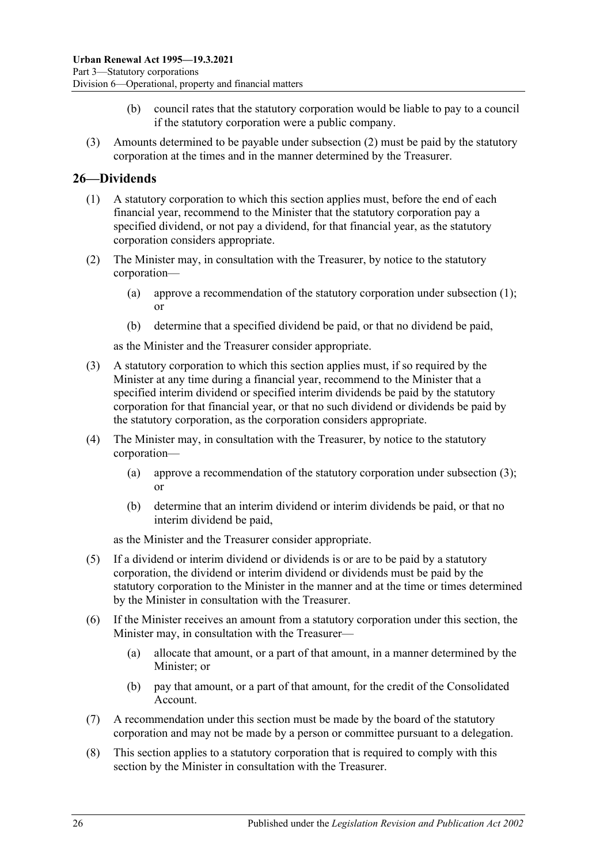- (b) council rates that the statutory corporation would be liable to pay to a council if the statutory corporation were a public company.
- (3) Amounts determined to be payable under [subsection](#page-24-3) (2) must be paid by the statutory corporation at the times and in the manner determined by the Treasurer.

## <span id="page-25-1"></span><span id="page-25-0"></span>**26—Dividends**

- (1) A statutory corporation to which this section applies must, before the end of each financial year, recommend to the Minister that the statutory corporation pay a specified dividend, or not pay a dividend, for that financial year, as the statutory corporation considers appropriate.
- (2) The Minister may, in consultation with the Treasurer, by notice to the statutory corporation—
	- (a) approve a recommendation of the statutory corporation under [subsection](#page-25-1) (1); or
	- (b) determine that a specified dividend be paid, or that no dividend be paid,

as the Minister and the Treasurer consider appropriate.

- <span id="page-25-2"></span>(3) A statutory corporation to which this section applies must, if so required by the Minister at any time during a financial year, recommend to the Minister that a specified interim dividend or specified interim dividends be paid by the statutory corporation for that financial year, or that no such dividend or dividends be paid by the statutory corporation, as the corporation considers appropriate.
- (4) The Minister may, in consultation with the Treasurer, by notice to the statutory corporation—
	- (a) approve a recommendation of the statutory corporation under [subsection](#page-25-2) (3); or
	- (b) determine that an interim dividend or interim dividends be paid, or that no interim dividend be paid,

as the Minister and the Treasurer consider appropriate.

- (5) If a dividend or interim dividend or dividends is or are to be paid by a statutory corporation, the dividend or interim dividend or dividends must be paid by the statutory corporation to the Minister in the manner and at the time or times determined by the Minister in consultation with the Treasurer.
- (6) If the Minister receives an amount from a statutory corporation under this section, the Minister may, in consultation with the Treasurer—
	- (a) allocate that amount, or a part of that amount, in a manner determined by the Minister; or
	- (b) pay that amount, or a part of that amount, for the credit of the Consolidated Account.
- (7) A recommendation under this section must be made by the board of the statutory corporation and may not be made by a person or committee pursuant to a delegation.
- (8) This section applies to a statutory corporation that is required to comply with this section by the Minister in consultation with the Treasurer.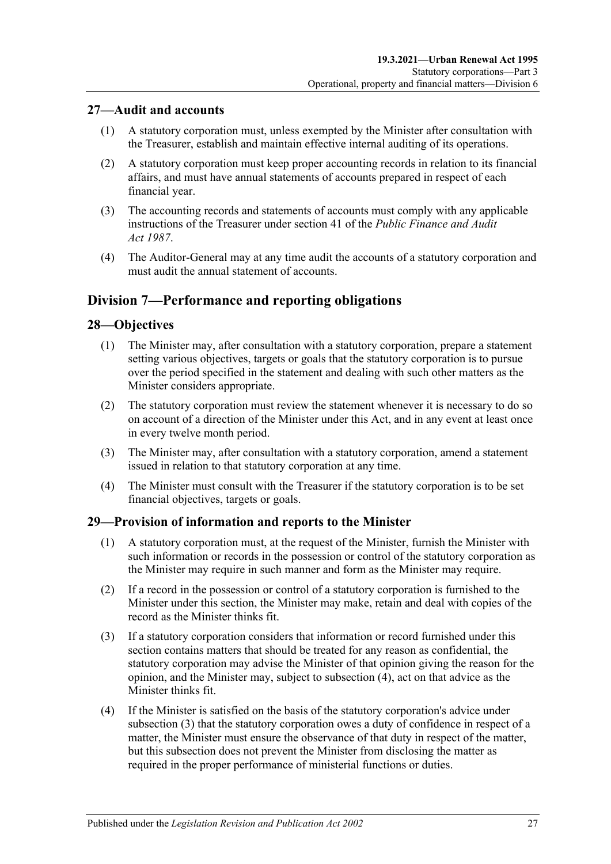## <span id="page-26-0"></span>**27—Audit and accounts**

- (1) A statutory corporation must, unless exempted by the Minister after consultation with the Treasurer, establish and maintain effective internal auditing of its operations.
- (2) A statutory corporation must keep proper accounting records in relation to its financial affairs, and must have annual statements of accounts prepared in respect of each financial year.
- (3) The accounting records and statements of accounts must comply with any applicable instructions of the Treasurer under section 41 of the *[Public Finance and Audit](http://www.legislation.sa.gov.au/index.aspx?action=legref&type=act&legtitle=Public%20Finance%20and%20Audit%20Act%201987)  Act [1987](http://www.legislation.sa.gov.au/index.aspx?action=legref&type=act&legtitle=Public%20Finance%20and%20Audit%20Act%201987)*.
- (4) The Auditor-General may at any time audit the accounts of a statutory corporation and must audit the annual statement of accounts.

## <span id="page-26-1"></span>**Division 7—Performance and reporting obligations**

## <span id="page-26-2"></span>**28—Objectives**

- (1) The Minister may, after consultation with a statutory corporation, prepare a statement setting various objectives, targets or goals that the statutory corporation is to pursue over the period specified in the statement and dealing with such other matters as the Minister considers appropriate.
- (2) The statutory corporation must review the statement whenever it is necessary to do so on account of a direction of the Minister under this Act, and in any event at least once in every twelve month period.
- (3) The Minister may, after consultation with a statutory corporation, amend a statement issued in relation to that statutory corporation at any time.
- (4) The Minister must consult with the Treasurer if the statutory corporation is to be set financial objectives, targets or goals.

#### <span id="page-26-3"></span>**29—Provision of information and reports to the Minister**

- (1) A statutory corporation must, at the request of the Minister, furnish the Minister with such information or records in the possession or control of the statutory corporation as the Minister may require in such manner and form as the Minister may require.
- (2) If a record in the possession or control of a statutory corporation is furnished to the Minister under this section, the Minister may make, retain and deal with copies of the record as the Minister thinks fit.
- <span id="page-26-5"></span>(3) If a statutory corporation considers that information or record furnished under this section contains matters that should be treated for any reason as confidential, the statutory corporation may advise the Minister of that opinion giving the reason for the opinion, and the Minister may, subject to [subsection](#page-26-4) (4), act on that advice as the Minister thinks fit.
- <span id="page-26-4"></span>(4) If the Minister is satisfied on the basis of the statutory corporation's advice under [subsection](#page-26-5) (3) that the statutory corporation owes a duty of confidence in respect of a matter, the Minister must ensure the observance of that duty in respect of the matter, but this subsection does not prevent the Minister from disclosing the matter as required in the proper performance of ministerial functions or duties.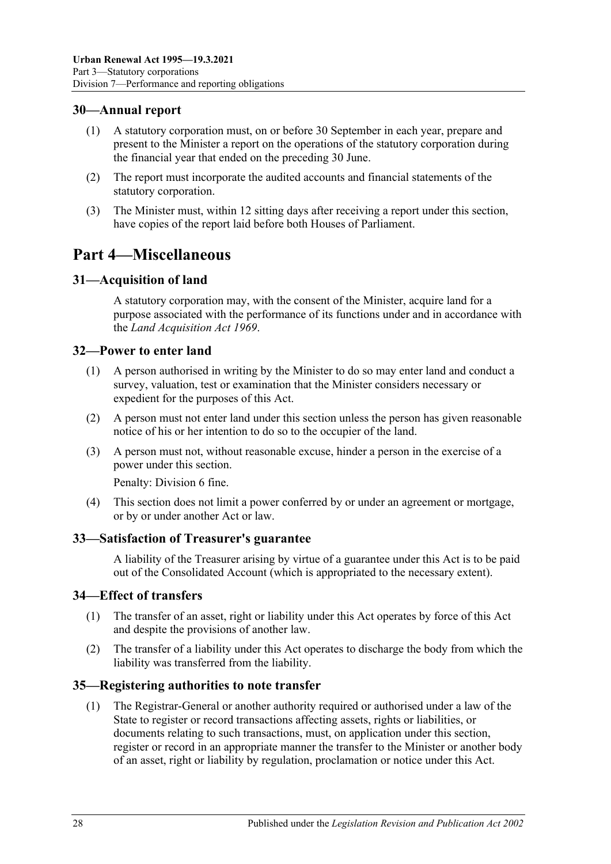## <span id="page-27-0"></span>**30—Annual report**

- (1) A statutory corporation must, on or before 30 September in each year, prepare and present to the Minister a report on the operations of the statutory corporation during the financial year that ended on the preceding 30 June.
- (2) The report must incorporate the audited accounts and financial statements of the statutory corporation.
- (3) The Minister must, within 12 sitting days after receiving a report under this section, have copies of the report laid before both Houses of Parliament.

# <span id="page-27-1"></span>**Part 4—Miscellaneous**

## <span id="page-27-2"></span>**31—Acquisition of land**

A statutory corporation may, with the consent of the Minister, acquire land for a purpose associated with the performance of its functions under and in accordance with the *[Land Acquisition Act](http://www.legislation.sa.gov.au/index.aspx?action=legref&type=act&legtitle=Land%20Acquisition%20Act%201969) 1969*.

#### <span id="page-27-3"></span>**32—Power to enter land**

- (1) A person authorised in writing by the Minister to do so may enter land and conduct a survey, valuation, test or examination that the Minister considers necessary or expedient for the purposes of this Act.
- (2) A person must not enter land under this section unless the person has given reasonable notice of his or her intention to do so to the occupier of the land.
- (3) A person must not, without reasonable excuse, hinder a person in the exercise of a power under this section.

Penalty: Division 6 fine.

(4) This section does not limit a power conferred by or under an agreement or mortgage, or by or under another Act or law.

#### <span id="page-27-4"></span>**33—Satisfaction of Treasurer's guarantee**

A liability of the Treasurer arising by virtue of a guarantee under this Act is to be paid out of the Consolidated Account (which is appropriated to the necessary extent).

#### <span id="page-27-5"></span>**34—Effect of transfers**

- (1) The transfer of an asset, right or liability under this Act operates by force of this Act and despite the provisions of another law.
- (2) The transfer of a liability under this Act operates to discharge the body from which the liability was transferred from the liability.

#### <span id="page-27-7"></span><span id="page-27-6"></span>**35—Registering authorities to note transfer**

(1) The Registrar-General or another authority required or authorised under a law of the State to register or record transactions affecting assets, rights or liabilities, or documents relating to such transactions, must, on application under this section, register or record in an appropriate manner the transfer to the Minister or another body of an asset, right or liability by regulation, proclamation or notice under this Act.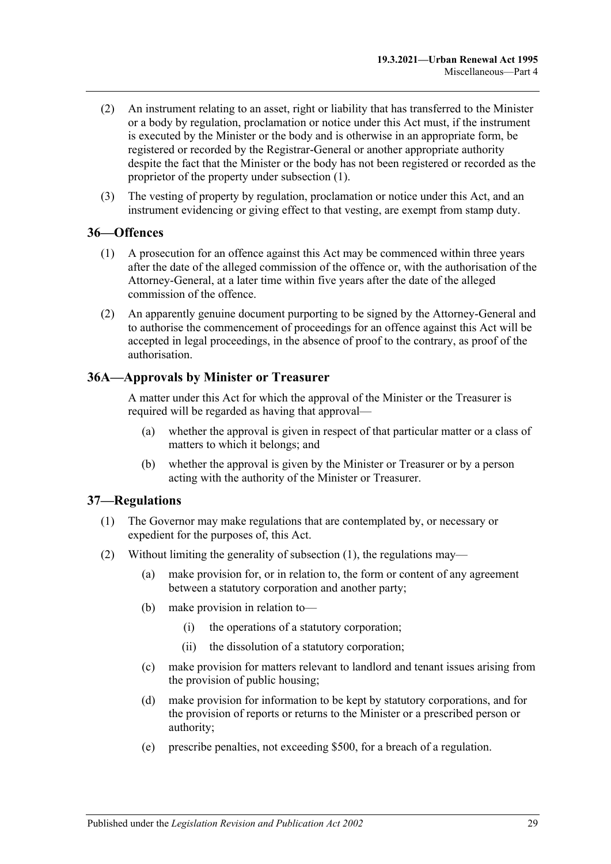- (2) An instrument relating to an asset, right or liability that has transferred to the Minister or a body by regulation, proclamation or notice under this Act must, if the instrument is executed by the Minister or the body and is otherwise in an appropriate form, be registered or recorded by the Registrar-General or another appropriate authority despite the fact that the Minister or the body has not been registered or recorded as the proprietor of the property under [subsection](#page-27-7) (1).
- (3) The vesting of property by regulation, proclamation or notice under this Act, and an instrument evidencing or giving effect to that vesting, are exempt from stamp duty.

#### <span id="page-28-0"></span>**36—Offences**

- (1) A prosecution for an offence against this Act may be commenced within three years after the date of the alleged commission of the offence or, with the authorisation of the Attorney-General, at a later time within five years after the date of the alleged commission of the offence.
- (2) An apparently genuine document purporting to be signed by the Attorney-General and to authorise the commencement of proceedings for an offence against this Act will be accepted in legal proceedings, in the absence of proof to the contrary, as proof of the authorisation.

#### <span id="page-28-1"></span>**36A—Approvals by Minister or Treasurer**

A matter under this Act for which the approval of the Minister or the Treasurer is required will be regarded as having that approval—

- (a) whether the approval is given in respect of that particular matter or a class of matters to which it belongs; and
- (b) whether the approval is given by the Minister or Treasurer or by a person acting with the authority of the Minister or Treasurer.

#### <span id="page-28-3"></span><span id="page-28-2"></span>**37—Regulations**

- (1) The Governor may make regulations that are contemplated by, or necessary or expedient for the purposes of, this Act.
- (2) Without limiting the generality of [subsection](#page-28-3) (1), the regulations may—
	- (a) make provision for, or in relation to, the form or content of any agreement between a statutory corporation and another party;
	- (b) make provision in relation to—
		- (i) the operations of a statutory corporation;
		- (ii) the dissolution of a statutory corporation;
	- (c) make provision for matters relevant to landlord and tenant issues arising from the provision of public housing;
	- (d) make provision for information to be kept by statutory corporations, and for the provision of reports or returns to the Minister or a prescribed person or authority;
	- (e) prescribe penalties, not exceeding \$500, for a breach of a regulation.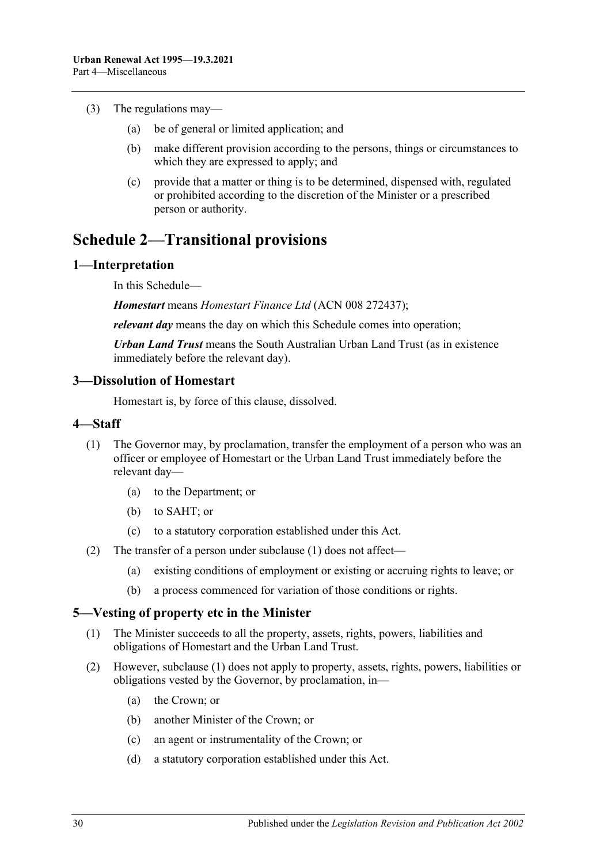- (3) The regulations may—
	- (a) be of general or limited application; and
	- (b) make different provision according to the persons, things or circumstances to which they are expressed to apply; and
	- (c) provide that a matter or thing is to be determined, dispensed with, regulated or prohibited according to the discretion of the Minister or a prescribed person or authority.

# <span id="page-29-0"></span>**Schedule 2—Transitional provisions**

#### <span id="page-29-1"></span>**1—Interpretation**

In this Schedule—

*Homestart* means *Homestart Finance Ltd* (ACN 008 272437);

*relevant day* means the day on which this Schedule comes into operation;

*Urban Land Trust* means the South Australian Urban Land Trust (as in existence immediately before the relevant day).

#### <span id="page-29-2"></span>**3—Dissolution of Homestart**

Homestart is, by force of this clause, dissolved.

#### <span id="page-29-5"></span><span id="page-29-3"></span>**4—Staff**

- (1) The Governor may, by proclamation, transfer the employment of a person who was an officer or employee of Homestart or the Urban Land Trust immediately before the relevant day—
	- (a) to the Department; or
	- (b) to SAHT; or
	- (c) to a statutory corporation established under this Act.
- (2) The transfer of a person under [subclause](#page-29-5) (1) does not affect—
	- (a) existing conditions of employment or existing or accruing rights to leave; or
	- (b) a process commenced for variation of those conditions or rights.

#### <span id="page-29-6"></span><span id="page-29-4"></span>**5—Vesting of property etc in the Minister**

- (1) The Minister succeeds to all the property, assets, rights, powers, liabilities and obligations of Homestart and the Urban Land Trust.
- (2) However, [subclause](#page-29-6) (1) does not apply to property, assets, rights, powers, liabilities or obligations vested by the Governor, by proclamation, in—
	- (a) the Crown; or
	- (b) another Minister of the Crown; or
	- (c) an agent or instrumentality of the Crown; or
	- (d) a statutory corporation established under this Act.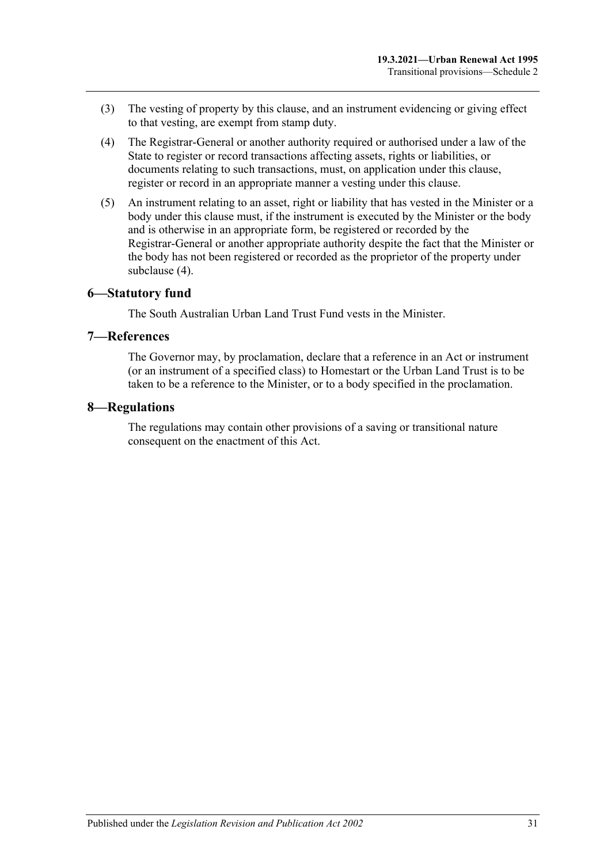- (3) The vesting of property by this clause, and an instrument evidencing or giving effect to that vesting, are exempt from stamp duty.
- <span id="page-30-3"></span>(4) The Registrar-General or another authority required or authorised under a law of the State to register or record transactions affecting assets, rights or liabilities, or documents relating to such transactions, must, on application under this clause, register or record in an appropriate manner a vesting under this clause.
- (5) An instrument relating to an asset, right or liability that has vested in the Minister or a body under this clause must, if the instrument is executed by the Minister or the body and is otherwise in an appropriate form, be registered or recorded by the Registrar-General or another appropriate authority despite the fact that the Minister or the body has not been registered or recorded as the proprietor of the property under [subclause](#page-30-3) (4).

#### <span id="page-30-0"></span>**6—Statutory fund**

The South Australian Urban Land Trust Fund vests in the Minister.

#### <span id="page-30-1"></span>**7—References**

The Governor may, by proclamation, declare that a reference in an Act or instrument (or an instrument of a specified class) to Homestart or the Urban Land Trust is to be taken to be a reference to the Minister, or to a body specified in the proclamation.

#### <span id="page-30-2"></span>**8—Regulations**

The regulations may contain other provisions of a saving or transitional nature consequent on the enactment of this Act.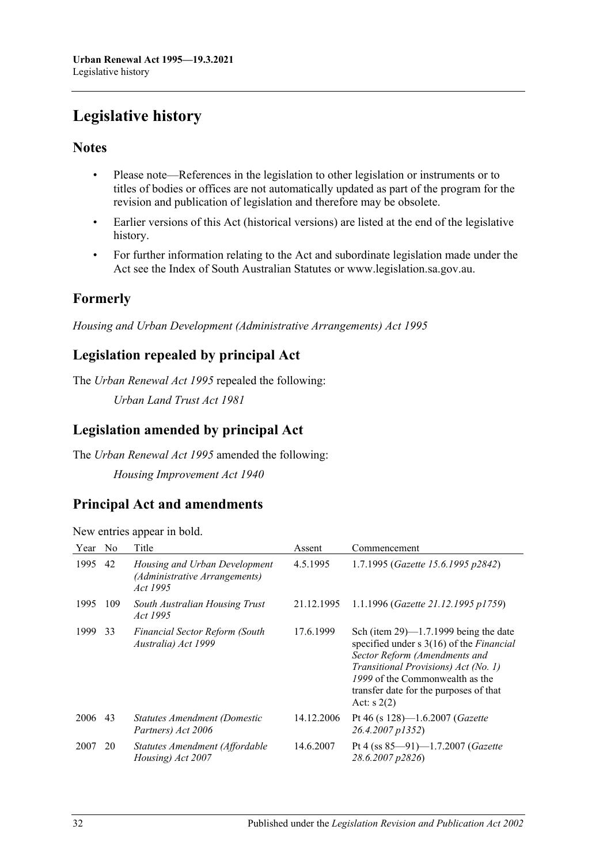# <span id="page-31-0"></span>**Legislative history**

## **Notes**

- Please note—References in the legislation to other legislation or instruments or to titles of bodies or offices are not automatically updated as part of the program for the revision and publication of legislation and therefore may be obsolete.
- Earlier versions of this Act (historical versions) are listed at the end of the legislative history.
- For further information relating to the Act and subordinate legislation made under the Act see the Index of South Australian Statutes or www.legislation.sa.gov.au.

# **Formerly**

*Housing and Urban Development (Administrative Arrangements) Act 1995*

## **Legislation repealed by principal Act**

The *Urban Renewal Act 1995* repealed the following:

*Urban Land Trust Act 1981*

# **Legislation amended by principal Act**

The *Urban Renewal Act 1995* amended the following:

*Housing Improvement Act 1940*

## **Principal Act and amendments**

New entries appear in bold.

| Year | N <sub>0</sub> | Title                                                                      | Assent     | Commencement                                                                                                                                                                                                                                                          |
|------|----------------|----------------------------------------------------------------------------|------------|-----------------------------------------------------------------------------------------------------------------------------------------------------------------------------------------------------------------------------------------------------------------------|
| 1995 | 42             | Housing and Urban Development<br>(Administrative Arrangements)<br>Act 1995 | 4.5.1995   | 1.7.1995 (Gazette 15.6.1995 p2842)                                                                                                                                                                                                                                    |
| 1995 | 109            | South Australian Housing Trust<br><i>Act 1995</i>                          | 21.12.1995 | 1.1.1996 (Gazette 21.12.1995 p1759)                                                                                                                                                                                                                                   |
| 1999 | 33             | <b>Financial Sector Reform (South</b><br>Australia) Act 1999               | 17.6.1999  | Sch (item $29$ )—1.7.1999 being the date<br>specified under $s \, 3(16)$ of the <i>Financial</i><br>Sector Reform (Amendments and<br>Transitional Provisions) Act (No. 1)<br>1999 of the Commonwealth as the<br>transfer date for the purposes of that<br>Act: $s(2)$ |
| 2006 | 43             | Statutes Amendment (Domestic<br>Partners) Act 2006                         | 14.12.2006 | Pt 46 (s 128)-1.6.2007 (Gazette<br>26.4.2007 p1352)                                                                                                                                                                                                                   |
| 2007 | 20             | Statutes Amendment (Affordable<br>Housing) Act 2007                        | 14.6.2007  | Pt 4 (ss $85-91$ )-1.7.2007 (Gazette<br>28.6.2007 p2826)                                                                                                                                                                                                              |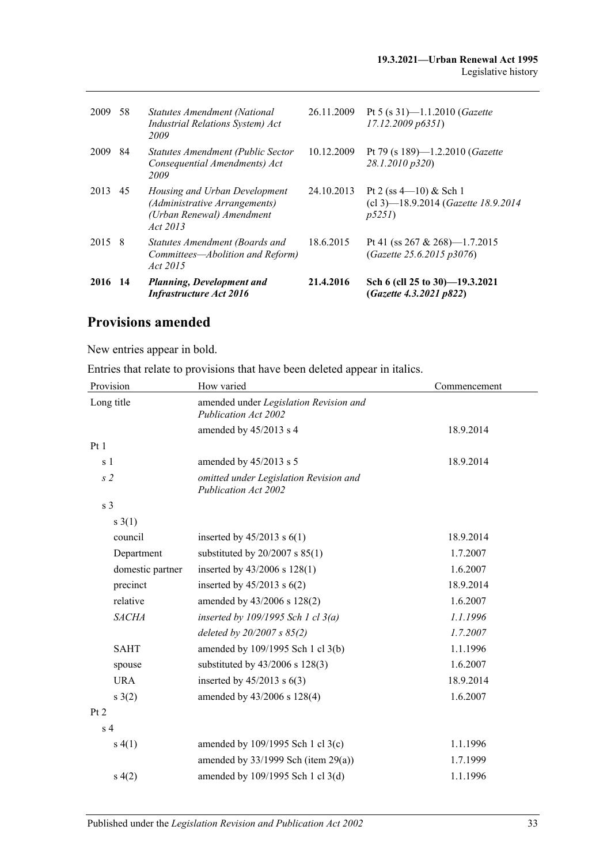| 2009   | 58  | Statutes Amendment (National<br>Industrial Relations System) Act<br>2009                                | 26.11.2009 | Pt 5 (s 31)-1.1.2010 ( <i>Gazette</i><br>17.12.2009 p6351                  |
|--------|-----|---------------------------------------------------------------------------------------------------------|------------|----------------------------------------------------------------------------|
| 2009   | 84  | Statutes Amendment (Public Sector<br>Consequential Amendments) Act<br>2009                              | 10.12.2009 | Pt 79 (s 189)-1.2.2010 (Gazette<br>28.1.2010 p320)                         |
| 2013   | 45  | Housing and Urban Development<br>(Administrative Arrangements)<br>(Urban Renewal) Amendment<br>Act 2013 | 24.10.2013 | Pt 2 (ss $4-10$ ) & Sch 1<br>(cl 3)-18.9.2014 (Gazette 18.9.2014)<br>p5251 |
| 2015 8 |     | Statutes Amendment (Boards and<br>Committees-Abolition and Reform)<br>Act 2015                          | 18.6.2015  | Pt 41 (ss $267 \& 268$ )—1.7.2015<br>(Gazette 25.6.2015 p3076)             |
| 2016   | -14 | Planning, Development and<br><b>Infrastructure Act 2016</b>                                             | 21.4.2016  | Sch 6 (cll 25 to 30)-19.3.2021<br>(Gazette 4.3.2021 p822)                  |

# **Provisions amended**

New entries appear in bold.

Entries that relate to provisions that have been deleted appear in italics.

| Provision        | How varied                                                     | Commencement |
|------------------|----------------------------------------------------------------|--------------|
| Long title       | amended under Legislation Revision and<br>Publication Act 2002 |              |
|                  | amended by 45/2013 s 4                                         | 18.9.2014    |
| Pt1              |                                                                |              |
| s <sub>1</sub>   | amended by 45/2013 s 5                                         | 18.9.2014    |
| s <sub>2</sub>   | omitted under Legislation Revision and<br>Publication Act 2002 |              |
| s <sub>3</sub>   |                                                                |              |
| $s \; 3(1)$      |                                                                |              |
| council          | inserted by $45/2013$ s $6(1)$                                 | 18.9.2014    |
| Department       | substituted by $20/2007$ s $85(1)$                             | 1.7.2007     |
| domestic partner | inserted by 43/2006 s 128(1)                                   | 1.6.2007     |
| precinct         | inserted by $45/2013$ s $6(2)$                                 | 18.9.2014    |
| relative         | amended by 43/2006 s 128(2)                                    | 1.6.2007     |
| <b>SACHA</b>     | inserted by $109/1995$ Sch 1 cl $3(a)$                         | 1.1.1996     |
|                  | deleted by $20/2007 s 85(2)$                                   | 1.7.2007     |
| <b>SAHT</b>      | amended by 109/1995 Sch 1 cl 3(b)                              | 1.1.1996     |
| spouse           | substituted by 43/2006 s 128(3)                                | 1.6.2007     |
| <b>URA</b>       | inserted by $45/2013$ s $6(3)$                                 | 18.9.2014    |
| s(2)             | amended by 43/2006 s 128(4)                                    | 1.6.2007     |
| Pt 2             |                                                                |              |
| s <sub>4</sub>   |                                                                |              |
| s(4(1))          | amended by 109/1995 Sch 1 cl 3(c)                              | 1.1.1996     |
|                  | amended by $33/1999$ Sch (item $29(a)$ )                       | 1.7.1999     |
| s(4(2)           | amended by 109/1995 Sch 1 cl 3(d)                              | 1.1.1996     |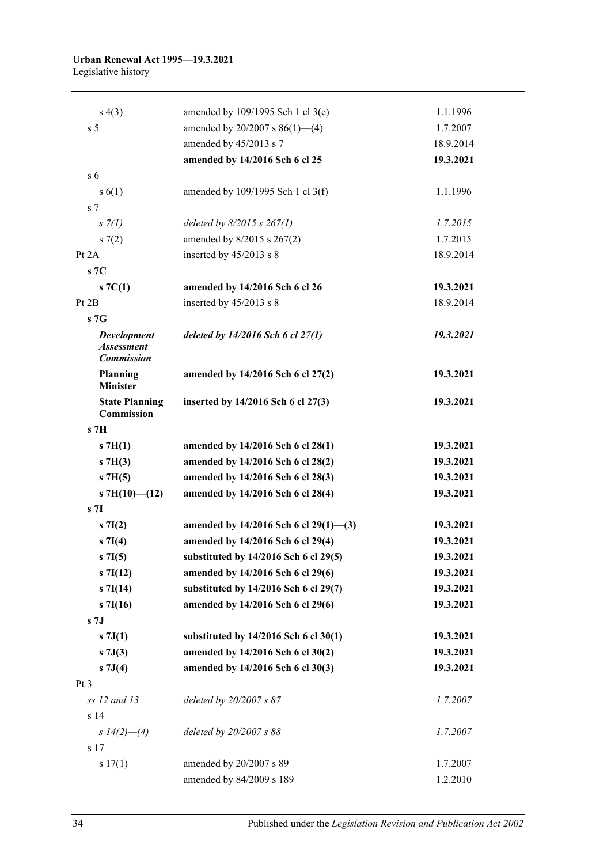| s(4(3))                                                      | amended by 109/1995 Sch 1 cl 3(e)       | 1.1.1996  |
|--------------------------------------------------------------|-----------------------------------------|-----------|
| s <sub>5</sub>                                               | amended by $20/2007$ s $86(1)$ —(4)     | 1.7.2007  |
|                                                              | amended by 45/2013 s 7                  | 18.9.2014 |
|                                                              | amended by 14/2016 Sch 6 cl 25          | 19.3.2021 |
| s <sub>6</sub>                                               |                                         |           |
| s(6(1))                                                      | amended by $109/1995$ Sch 1 cl 3(f)     | 1.1.1996  |
| s <sub>7</sub>                                               |                                         |           |
| $s \, 7(l)$                                                  | deleted by $8/2015$ s $267(1)$          | 1.7.2015  |
| s(7(2)                                                       | amended by 8/2015 s 267(2)              | 1.7.2015  |
| Pt 2A                                                        | inserted by 45/2013 s 8                 | 18.9.2014 |
| s7C                                                          |                                         |           |
| $S \, 7C(1)$                                                 | amended by 14/2016 Sch 6 cl 26          | 19.3.2021 |
| Pt 2B                                                        | inserted by 45/2013 s 8                 | 18.9.2014 |
| s7G                                                          |                                         |           |
| <b>Development</b><br><b>Assessment</b><br><b>Commission</b> | deleted by $14/2016$ Sch 6 cl $27(1)$   | 19.3.2021 |
| <b>Planning</b><br><b>Minister</b>                           | amended by 14/2016 Sch 6 cl 27(2)       | 19.3.2021 |
| <b>State Planning</b><br>Commission                          | inserted by 14/2016 Sch 6 cl 27(3)      | 19.3.2021 |
| s <sub>7H</sub>                                              |                                         |           |
| $\mathbf{s}$ 7H(1)                                           | amended by 14/2016 Sch 6 cl 28(1)       | 19.3.2021 |
| $s$ 7H(3)                                                    | amended by 14/2016 Sch 6 cl 28(2)       | 19.3.2021 |
| $s$ 7H(5)                                                    | amended by 14/2016 Sch 6 cl 28(3)       | 19.3.2021 |
| s 7H $(10)$ — $(12)$                                         | amended by 14/2016 Sch 6 cl 28(4)       | 19.3.2021 |
| s <sub>7I</sub>                                              |                                         |           |
| $s \, 7I(2)$                                                 | amended by $14/2016$ Sch 6 cl 29(1)–(3) | 19.3.2021 |
| $s \, 7I(4)$                                                 | amended by 14/2016 Sch 6 cl 29(4)       | 19.3.2021 |
| $s \, 7I(5)$                                                 | substituted by 14/2016 Sch 6 cl 29(5)   | 19.3.2021 |
| $s \, 7I(12)$                                                | amended by 14/2016 Sch 6 cl 29(6)       | 19.3.2021 |
| $s \, 7I(14)$                                                | substituted by 14/2016 Sch 6 cl 29(7)   | 19.3.2021 |
| $s \, 7I(16)$                                                | amended by 14/2016 Sch 6 cl 29(6)       | 19.3.2021 |
| s <sub>7J</sub>                                              |                                         |           |
| $s \, 7J(1)$                                                 | substituted by 14/2016 Sch 6 cl 30(1)   | 19.3.2021 |
| $s \overline{7J(3)}$                                         | amended by 14/2016 Sch 6 cl 30(2)       | 19.3.2021 |
| $s \, 7J(4)$                                                 | amended by 14/2016 Sch 6 cl 30(3)       | 19.3.2021 |
| Pt <sub>3</sub>                                              |                                         |           |
| ss 12 and 13                                                 | deleted by 20/2007 s 87                 | 1.7.2007  |
| s 14                                                         |                                         |           |
| s $14(2)$ —(4)                                               | deleted by $20/2007 s 88$               | 1.7.2007  |
| s 17                                                         |                                         |           |
| s 17(1)                                                      | amended by 20/2007 s 89                 | 1.7.2007  |
|                                                              | amended by 84/2009 s 189                | 1.2.2010  |
|                                                              |                                         |           |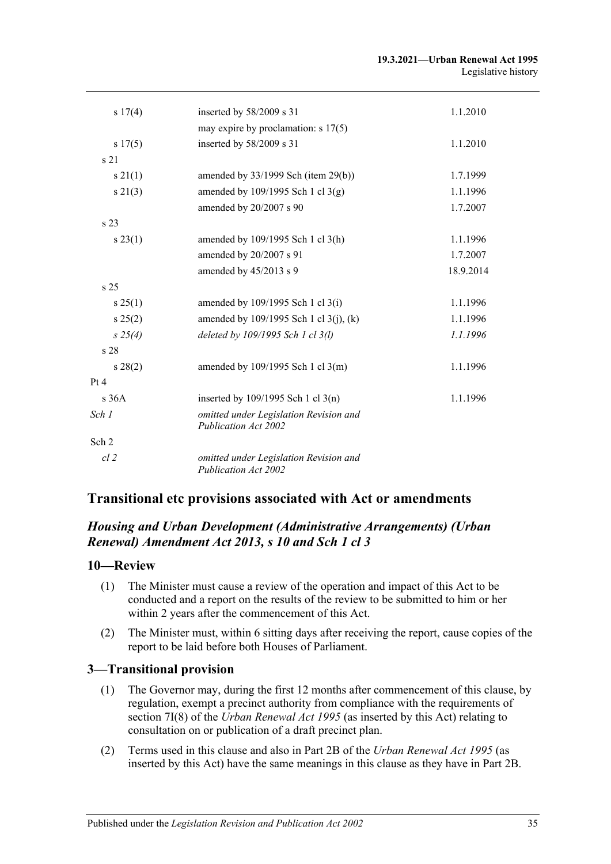| s 17(4)         | inserted by 58/2009 s 31                                              | 1.1.2010  |
|-----------------|-----------------------------------------------------------------------|-----------|
|                 | may expire by proclamation: $s$ 17(5)                                 |           |
| s 17(5)         | inserted by 58/2009 s 31                                              | 1.1.2010  |
| s <sub>21</sub> |                                                                       |           |
| $s \, 21(1)$    | amended by $33/1999$ Sch (item 29(b))                                 | 1.7.1999  |
| $s \, 21(3)$    | amended by $109/1995$ Sch 1 cl 3(g)                                   | 1.1.1996  |
|                 | amended by 20/2007 s 90                                               | 1.7.2007  |
| s <sub>23</sub> |                                                                       |           |
| $s\,23(1)$      | amended by 109/1995 Sch 1 cl 3(h)                                     | 1.1.1996  |
|                 | amended by 20/2007 s 91                                               | 1.7.2007  |
|                 | amended by 45/2013 s 9                                                | 18.9.2014 |
| s <sub>25</sub> |                                                                       |           |
| $s \, 25(1)$    | amended by $109/1995$ Sch 1 cl 3(i)                                   | 1.1.1996  |
| s 25(2)         | amended by $109/1995$ Sch 1 cl 3(j), (k)                              | 1.1.1996  |
| $s\,25(4)$      | deleted by 109/1995 Sch 1 cl 3(l)                                     | 1.1.1996  |
| s <sub>28</sub> |                                                                       |           |
| $s\,28(2)$      | amended by $109/1995$ Sch 1 cl 3(m)                                   | 1.1.1996  |
| Pt 4            |                                                                       |           |
| s36A            | inserted by $109/1995$ Sch 1 cl 3(n)                                  | 1.1.1996  |
| Sch 1           | omitted under Legislation Revision and<br>Publication Act 2002        |           |
| Sch 2           |                                                                       |           |
| $cl$ 2          | omitted under Legislation Revision and<br><b>Publication Act 2002</b> |           |

## **Transitional etc provisions associated with Act or amendments**

## *Housing and Urban Development (Administrative Arrangements) (Urban Renewal) Amendment Act 2013, s 10 and Sch 1 cl 3*

#### **10—Review**

- (1) The Minister must cause a review of the operation and impact of this Act to be conducted and a report on the results of the review to be submitted to him or her within 2 years after the commencement of this Act.
- (2) The Minister must, within 6 sitting days after receiving the report, cause copies of the report to be laid before both Houses of Parliament.

#### **3—Transitional provision**

- (1) The Governor may, during the first 12 months after commencement of this clause, by regulation, exempt a precinct authority from compliance with the requirements of section 7I(8) of the *[Urban Renewal Act](http://www.legislation.sa.gov.au/index.aspx?action=legref&type=act&legtitle=Urban%20Renewal%20Act%201995) 1995* (as inserted by this Act) relating to consultation on or publication of a draft precinct plan.
- (2) Terms used in this clause and also in Part 2B of the *[Urban Renewal Act](http://www.legislation.sa.gov.au/index.aspx?action=legref&type=act&legtitle=Urban%20Renewal%20Act%201995) 1995* (as inserted by this Act) have the same meanings in this clause as they have in Part 2B.